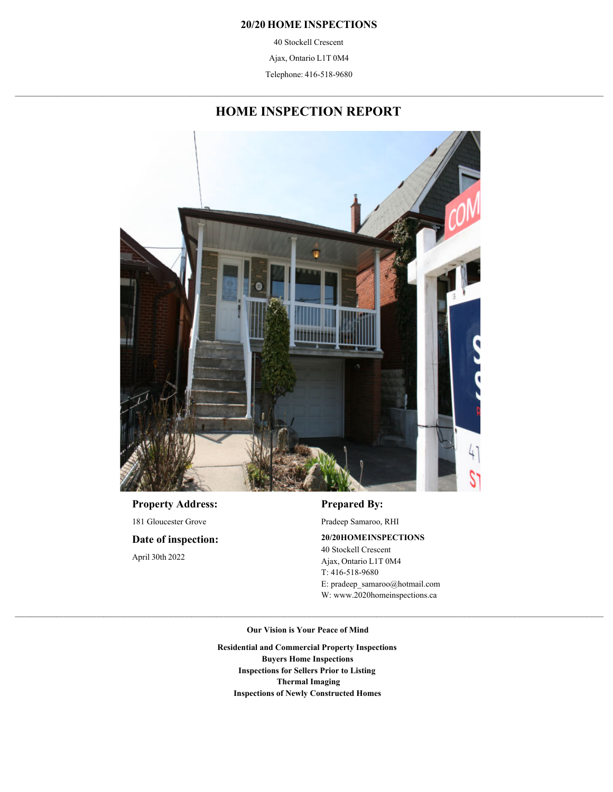#### **20/20 HOME INSPECTIONS**

40 Stockell Crescent

Ajax, Ontario L1T 0M4

 $\mathcal{L}_\text{max} = \mathcal{L}_\text{max} = \mathcal{L}_\text{max} = \mathcal{L}_\text{max} = \mathcal{L}_\text{max} = \mathcal{L}_\text{max} = \mathcal{L}_\text{max} = \mathcal{L}_\text{max} = \mathcal{L}_\text{max} = \mathcal{L}_\text{max} = \mathcal{L}_\text{max} = \mathcal{L}_\text{max} = \mathcal{L}_\text{max} = \mathcal{L}_\text{max} = \mathcal{L}_\text{max} = \mathcal{L}_\text{max} = \mathcal{L}_\text{max} = \mathcal{L}_\text{max} = \mathcal{$ Telephone: 416-518-9680

## **HOME INSPECTION REPORT**



April 30th 2022 **Date of inspection:** 181 Gloucester Grove **Property Address:**

## **Prepared By:**

Pradeep Samaroo, RHI

#### **20/20 HOME INSPECTIONS**

W: www.2020homeinspections.ca E: pradeep\_samaroo@hotmail.com T: 416-518-9680 Ajax, Ontario L1T 0M4 40 Stockell Crescent

**Our Vision is Your Peace of Mind**

**Inspections of Newly Constructed Homes Thermal Imaging Inspections for Sellers Prior to Listing Buyers Home Inspections Residential and Commercial Property Inspections**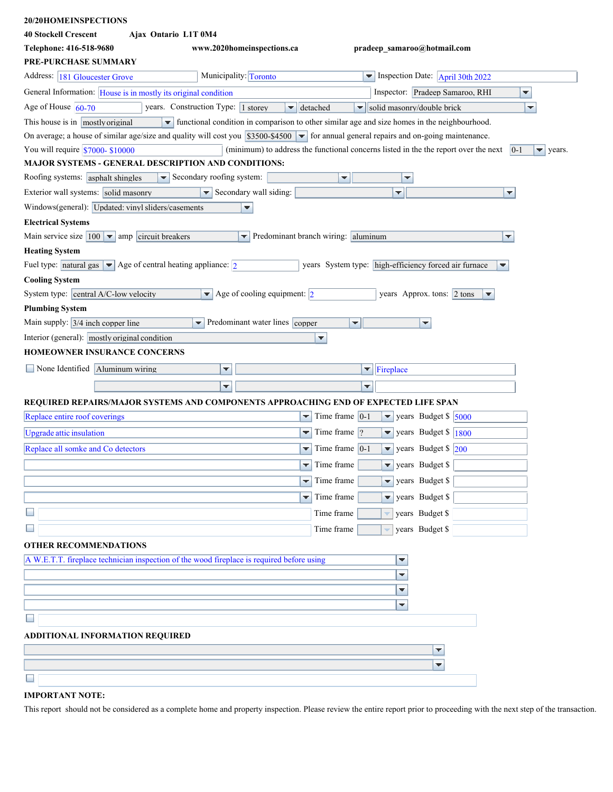| 20/20HOMEINSPECTIONS                                                                                                                                       |                                                                      |                                                                                                               |
|------------------------------------------------------------------------------------------------------------------------------------------------------------|----------------------------------------------------------------------|---------------------------------------------------------------------------------------------------------------|
| <b>40 Stockell Crescent</b><br>Ajax Ontario L1T 0M4                                                                                                        |                                                                      |                                                                                                               |
| Telephone: 416-518-9680                                                                                                                                    | www.2020homeinspections.ca                                           | pradeep samaroo@hotmail.com                                                                                   |
| PRE-PURCHASE SUMMARY                                                                                                                                       |                                                                      |                                                                                                               |
| Address: 181 Gloucester Grove                                                                                                                              | Municipality: Toronto                                                | $\blacktriangleright$ Inspection Date: $\Delta$ pril 30th 2022                                                |
| General Information: House is in mostly its original condition                                                                                             |                                                                      | Inspector: Pradeep Samaroo, RHI<br>▼                                                                          |
| Age of House $\vert$ 60-70                                                                                                                                 | years. Construction Type: 1 storey<br>$\blacktriangleright$ detached | solid masonry/double brick<br>▼<br>$\overline{\mathbf{v}}$                                                    |
| This house is in mostly original                                                                                                                           |                                                                      | • functional condition in comparison to other similar age and size homes in the neighbourhood.                |
| On average; a house of similar age/size and quality will cost you $$3500-$4500$ $\blacktriangleright$ for annual general repairs and on-going maintenance. |                                                                      |                                                                                                               |
| You will require $$7000 - $10000$                                                                                                                          |                                                                      | (minimum) to address the functional concerns listed in the the report over the next<br>$ 0-1 $<br>₹<br>years. |
| MAJOR SYSTEMS - GENERAL DESCRIPTION AND CONDITIONS:                                                                                                        |                                                                      |                                                                                                               |
| Roofing systems: asphalt shingles                                                                                                                          | $\blacktriangleright$ Secondary roofing system:                      | ▼<br>▼                                                                                                        |
| Exterior wall systems: solid masonry                                                                                                                       | $\blacktriangleright$ Secondary wall siding:                         | ▼<br>▼                                                                                                        |
| Windows(general): Updated: vinyl sliders/casements                                                                                                         | ▼                                                                    |                                                                                                               |
| <b>Electrical Systems</b>                                                                                                                                  |                                                                      |                                                                                                               |
| Main service size $ 100 $ $\bullet$ amp circuit breakers                                                                                                   | Predominant branch wiring: aluminum                                  | ▼                                                                                                             |
| <b>Heating System</b>                                                                                                                                      |                                                                      |                                                                                                               |
| Fuel type: natural gas $\blacktriangleright$ Age of central heating appliance: 2                                                                           |                                                                      | years System type: high-efficiency forced air furnace<br>▼                                                    |
| <b>Cooling System</b>                                                                                                                                      |                                                                      |                                                                                                               |
| System type: central A/C-low velocity                                                                                                                      | $\blacktriangleright$ Age of cooling equipment: 2                    | years Approx. tons: 2 tons<br>₩                                                                               |
| <b>Plumbing System</b>                                                                                                                                     |                                                                      |                                                                                                               |
| Main supply: $3/4$ inch copper line                                                                                                                        | Predominant water lines copper                                       | ▼<br>▼                                                                                                        |
| Interior (general): mostly original condition                                                                                                              | ▼                                                                    |                                                                                                               |
| <b>HOMEOWNER INSURANCE CONCERNS</b>                                                                                                                        |                                                                      |                                                                                                               |
| None Identified Aluminum wiring                                                                                                                            | ▼                                                                    | $\blacktriangleright$ Fireplace                                                                               |
|                                                                                                                                                            | ₹                                                                    | ▼                                                                                                             |
| REQUIRED REPAIRS/MAJOR SYSTEMS AND COMPONENTS APPROACHING END OF EXPEC                                                                                     |                                                                      | TED LIFE SPAN                                                                                                 |
| Replace entire roof coverings                                                                                                                              | ▼                                                                    | Time frame $ 0-1 $<br>years Budget \$ 5000<br>▼                                                               |
|                                                                                                                                                            | $\overline{\phantom{0}}$                                             | Time frame $ $ ?<br>$\overline{\phantom{a}}$                                                                  |
| Upgrade attic insulation                                                                                                                                   |                                                                      | years Budget $\frac{1800}{ }$                                                                                 |
| Replace all somke and Co detectors                                                                                                                         | ▼                                                                    | Time frame $ 0-1 $<br>years Budget \$ 200<br>$\blacktriangledown$                                             |
|                                                                                                                                                            | Time frame                                                           | years Budget \$                                                                                               |
|                                                                                                                                                            | Time frame<br>÷.                                                     | ÷<br>years Budget \$                                                                                          |
|                                                                                                                                                            | Time frame<br>▼                                                      | years Budget \$<br>÷                                                                                          |
| $\Box$                                                                                                                                                     | Time frame                                                           | years Budget \$                                                                                               |
|                                                                                                                                                            | Time frame                                                           | years Budget \$                                                                                               |
| <b>OTHER RECOMMENDATIONS</b>                                                                                                                               |                                                                      |                                                                                                               |
| A W.E.T.T. fireplace technician inspection of the wood fireplace is required before using                                                                  |                                                                      | ▼                                                                                                             |
|                                                                                                                                                            |                                                                      | ▼                                                                                                             |
|                                                                                                                                                            |                                                                      |                                                                                                               |
|                                                                                                                                                            |                                                                      | ▼                                                                                                             |
|                                                                                                                                                            |                                                                      |                                                                                                               |
| ADDITIONAL INFORMATION REQUIRED                                                                                                                            |                                                                      |                                                                                                               |
|                                                                                                                                                            |                                                                      | ▼                                                                                                             |
|                                                                                                                                                            |                                                                      |                                                                                                               |
|                                                                                                                                                            |                                                                      | ▼                                                                                                             |
|                                                                                                                                                            |                                                                      |                                                                                                               |

### **IMPORTANT NOTE:**

This report should not be considered as a complete home and property inspection. Please review the entire report prior to proceeding with the next step of the transaction.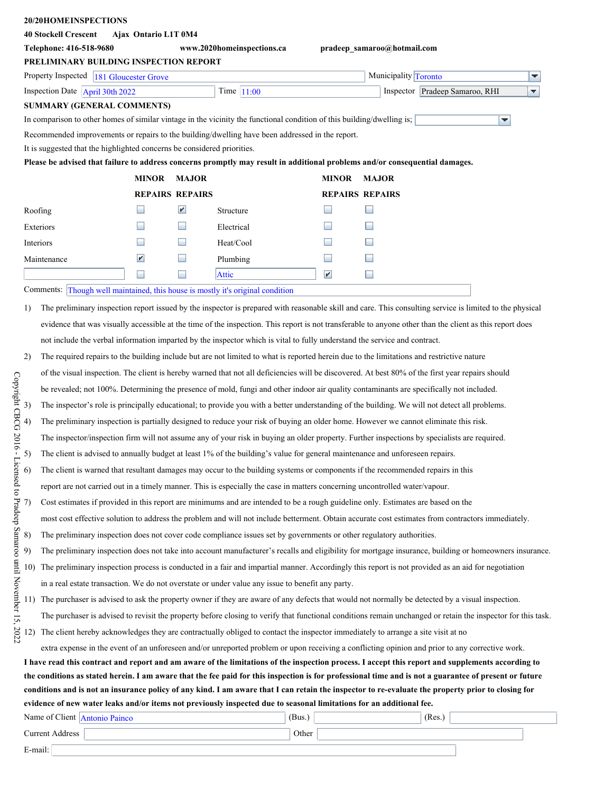### **20/20 HOME INSPECTIONS**

| <i>20/20HOMEINSPECTIONS</i>                                                                                            |                          |                        |                                                                                                                             |                       |                                                                                                                                                              |   |
|------------------------------------------------------------------------------------------------------------------------|--------------------------|------------------------|-----------------------------------------------------------------------------------------------------------------------------|-----------------------|--------------------------------------------------------------------------------------------------------------------------------------------------------------|---|
| <b>40 Stockell Crescent</b>                                                                                            | Ajax Ontario L1T 0M4     |                        |                                                                                                                             |                       |                                                                                                                                                              |   |
| Telephone: 416-518-9680                                                                                                |                          |                        | www.2020homeinspections.ca                                                                                                  |                       | pradeep_samaroo@hotmail.com                                                                                                                                  |   |
| PRELIMINARY BUILDING INSPECTION REPORT                                                                                 |                          |                        |                                                                                                                             |                       |                                                                                                                                                              |   |
| Property Inspected 181 Gloucester Grove                                                                                |                          |                        |                                                                                                                             |                       | Municipality Toronto                                                                                                                                         | ▼ |
| Inspection Date $A_\text{pril}$ 30th 2022                                                                              |                          |                        | Time $ 11:00$                                                                                                               |                       | Inspector Pradeep Samaroo, RHI                                                                                                                               | ₹ |
| <b>SUMMARY (GENERAL COMMENTS)</b>                                                                                      |                          |                        |                                                                                                                             |                       |                                                                                                                                                              |   |
| In comparison to other homes of similar vintage in the vicinity the functional condition of this building/dwelling is; |                          |                        |                                                                                                                             |                       | ▼                                                                                                                                                            |   |
| Recommended improvements or repairs to the building/dwelling have been addressed in the report.                        |                          |                        |                                                                                                                             |                       |                                                                                                                                                              |   |
| It is suggested that the highlighted concerns be considered priorities.                                                |                          |                        |                                                                                                                             |                       |                                                                                                                                                              |   |
|                                                                                                                        |                          |                        |                                                                                                                             |                       | Please be advised that failure to address concerns promptly may result in additional problems and/or consequential damages.                                  |   |
|                                                                                                                        | <b>MINOR</b>             | <b>MAJOR</b>           |                                                                                                                             | <b>MINOR</b>          | <b>MAJOR</b>                                                                                                                                                 |   |
|                                                                                                                        |                          | <b>REPAIRS REPAIRS</b> |                                                                                                                             |                       | <b>REPAIRS REPAIRS</b>                                                                                                                                       |   |
| Roofing                                                                                                                |                          | $\blacktriangleright$  | Structure                                                                                                                   |                       |                                                                                                                                                              |   |
| Exteriors                                                                                                              |                          | H                      | Electrical                                                                                                                  |                       |                                                                                                                                                              |   |
| Interiors                                                                                                              |                          |                        | Heat/Cool                                                                                                                   |                       |                                                                                                                                                              |   |
| Maintenance                                                                                                            | $\mathbf{r}$             |                        | Plumbing                                                                                                                    |                       |                                                                                                                                                              |   |
|                                                                                                                        | $\overline{\phantom{a}}$ | ×                      | <b>Attic</b>                                                                                                                | $\blacktriangleright$ | ۰                                                                                                                                                            |   |
| Comments: Though well maintained, this house is mostly it's original condition                                         |                          |                        |                                                                                                                             |                       |                                                                                                                                                              |   |
|                                                                                                                        |                          |                        |                                                                                                                             |                       |                                                                                                                                                              |   |
| 1)                                                                                                                     |                          |                        |                                                                                                                             |                       | The preliminary inspection report issued by the inspector is prepared with reasonable skill and care. This consulting service is limited to the physical     |   |
|                                                                                                                        |                          |                        |                                                                                                                             |                       | evidence that was visually accessible at the time of the inspection. This report is not transferable to anyone other than the client as this report does     |   |
|                                                                                                                        |                          |                        | not include the verbal information imparted by the inspector which is vital to fully understand the service and contract.   |                       |                                                                                                                                                              |   |
| 2)                                                                                                                     |                          |                        |                                                                                                                             |                       | The required repairs to the building include but are not limited to what is reported herein due to the limitations and restrictive nature                    |   |
|                                                                                                                        |                          |                        |                                                                                                                             |                       | of the visual inspection. The client is hereby warned that not all deficiencies will be discovered. At best 80% of the first year repairs should             |   |
|                                                                                                                        |                          |                        |                                                                                                                             |                       | be revealed; not 100%. Determining the presence of mold, fungi and other indoor air quality contaminants are specifically not included.                      |   |
| 3)                                                                                                                     |                          |                        |                                                                                                                             |                       | The inspector's role is principally educational; to provide you with a better understanding of the building. We will not detect all problems.                |   |
| 4)                                                                                                                     |                          |                        |                                                                                                                             |                       | The preliminary inspection is partially designed to reduce your risk of buying an older home. However we cannot eliminate this risk.                         |   |
|                                                                                                                        |                          |                        |                                                                                                                             |                       |                                                                                                                                                              |   |
|                                                                                                                        |                          |                        |                                                                                                                             |                       | The inspector/inspection firm will not assume any of your risk in buying an older property. Further inspections by specialists are required.                 |   |
| 5)                                                                                                                     |                          |                        |                                                                                                                             |                       | The client is advised to annually budget at least 1% of the building's value for general maintenance and unforeseen repairs.                                 |   |
| 6)                                                                                                                     |                          |                        |                                                                                                                             |                       | The client is warned that resultant damages may occur to the building systems or components if the recommended repairs in this                               |   |
|                                                                                                                        |                          |                        | report are not carried out in a timely manner. This is especially the case in matters concerning uncontrolled water/vapour. |                       |                                                                                                                                                              |   |
| (7)                                                                                                                    |                          |                        |                                                                                                                             |                       | Cost estimates if provided in this report are minimums and are intended to be a rough guideline only. Estimates are based on the                             |   |
|                                                                                                                        |                          |                        |                                                                                                                             |                       | most cost effective solution to address the problem and will not include betterment. Obtain accurate cost estimates from contractors immediately.            |   |
| 8)                                                                                                                     |                          |                        | The preliminary inspection does not cover code compliance issues set by governments or other regulatory authorities.        |                       |                                                                                                                                                              |   |
| 9)                                                                                                                     |                          |                        |                                                                                                                             |                       | The preliminary inspection does not take into account manufacturer's recalls and eligibility for mortgage insurance, building or homeowners insurance.       |   |
| 10)                                                                                                                    |                          |                        |                                                                                                                             |                       | The preliminary inspection process is conducted in a fair and impartial manner. Accordingly this report is not provided as an aid for negotiation            |   |
|                                                                                                                        |                          |                        |                                                                                                                             |                       |                                                                                                                                                              |   |
|                                                                                                                        |                          |                        | in a real estate transaction. We do not overstate or under value any issue to benefit any party.                            |                       |                                                                                                                                                              |   |
| . 11)                                                                                                                  |                          |                        |                                                                                                                             |                       | The purchaser is advised to ask the property owner if they are aware of any defects that would not normally be detected by a visual inspection.              |   |
|                                                                                                                        |                          |                        |                                                                                                                             |                       | The purchaser is advised to revisit the property before closing to verify that functional conditions remain unchanged or retain the inspector for this task. |   |
| 12)                                                                                                                    |                          |                        |                                                                                                                             |                       | The client hereby acknowledges they are contractually obliged to contact the inspector immediately to arrange a site visit at no                             |   |
|                                                                                                                        |                          |                        |                                                                                                                             |                       | extra expense in the event of an unforeseen and/or unreported problem or upon receiving a conflicting opinion and prior to any corrective work.              |   |
|                                                                                                                        |                          |                        |                                                                                                                             |                       | I have read this contract and report and am aware of the limitations of the inspection process. I accept this report and supplements according to            |   |
|                                                                                                                        |                          |                        |                                                                                                                             |                       | the conditions as stated herein. I am aware that the fee paid for this inspection is for professional time and is not a guarantee of present or future       |   |
|                                                                                                                        |                          |                        |                                                                                                                             |                       | conditions and is not an insurance policy of any kind. I am aware that I can retain the inspector to re-evaluate the property prior to closing for           |   |
| evidence of new water leaks and/or items not previously inspected due to seasonal limitations for an additional fee.   |                          |                        |                                                                                                                             |                       |                                                                                                                                                              |   |
| Name of Client Antonio Painco                                                                                          |                          |                        | (Bus.)                                                                                                                      |                       | (Res.)                                                                                                                                                       |   |
| <b>Current Address</b>                                                                                                 |                          |                        | Other                                                                                                                       |                       |                                                                                                                                                              |   |

E-mail: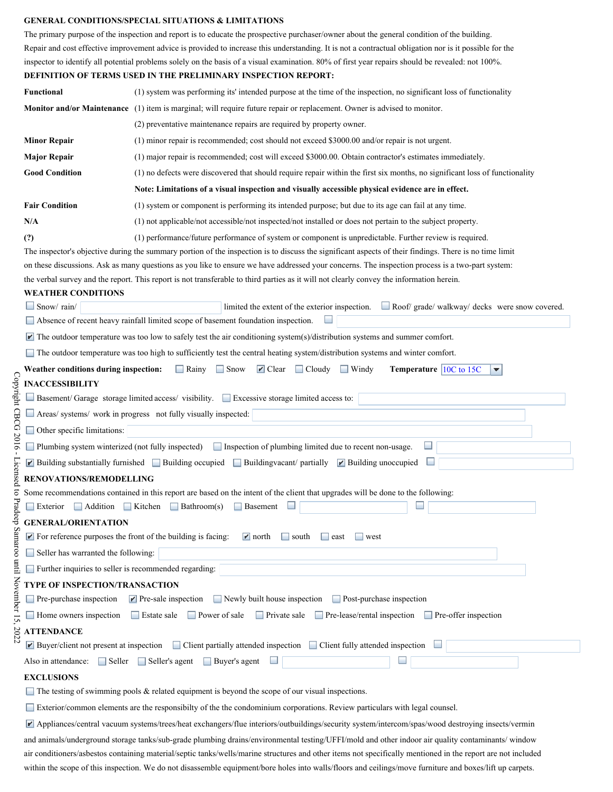#### **GENERAL CONDITIONS/SPECIAL SITUATIONS & LIMITATIONS**

|                                                                                                                 | <u>GENERAL CONDITIONSIST ECIAL SITUATIONS &amp; LIMITATIONS</u>                                                                                                                                                     |
|-----------------------------------------------------------------------------------------------------------------|---------------------------------------------------------------------------------------------------------------------------------------------------------------------------------------------------------------------|
|                                                                                                                 | The primary purpose of the inspection and report is to educate the prospective purchaser/owner about the general condition of the building.                                                                         |
|                                                                                                                 | Repair and cost effective improvement advice is provided to increase this understanding. It is not a contractual obligation nor is it possible for the                                                              |
|                                                                                                                 | inspector to identify all potential problems solely on the basis of a visual examination. 80% of first year repairs should be revealed: not 100%.<br>DEFINITION OF TERMS USED IN THE PRELIMINARY INSPECTION REPORT: |
| Functional                                                                                                      | (1) system was performing its' intended purpose at the time of the inspection, no significant loss of functionality                                                                                                 |
|                                                                                                                 | Monitor and/or Maintenance (1) item is marginal; will require future repair or replacement. Owner is advised to monitor.                                                                                            |
|                                                                                                                 | (2) preventative maintenance repairs are required by property owner.                                                                                                                                                |
| <b>Minor Repair</b>                                                                                             | (1) minor repair is recommended; cost should not exceed \$3000.00 and/or repair is not urgent.                                                                                                                      |
| <b>Major Repair</b>                                                                                             | (1) major repair is recommended; cost will exceed \$3000.00. Obtain contractor's estimates immediately.                                                                                                             |
| <b>Good Condition</b>                                                                                           | (1) no defects were discovered that should require repair within the first six months, no significant loss of functionality                                                                                         |
|                                                                                                                 | Note: Limitations of a visual inspection and visually accessible physical evidence are in effect.                                                                                                                   |
| <b>Fair Condition</b>                                                                                           | (1) system or component is performing its intended purpose; but due to its age can fail at any time.                                                                                                                |
| N/A                                                                                                             | (1) not applicable/not accessible/not inspected/not installed or does not pertain to the subject property.                                                                                                          |
| (?)                                                                                                             | (1) performance/future performance of system or component is unpredictable. Further review is required.                                                                                                             |
|                                                                                                                 | The inspector's objective during the summary portion of the inspection is to discuss the significant aspects of their findings. There is no time limit                                                              |
|                                                                                                                 | on these discussions. Ask as many questions as you like to ensure we have addressed your concerns. The inspection process is a two-part system:                                                                     |
| <b>WEATHER CONDITIONS</b>                                                                                       | the verbal survey and the report. This report is not transferable to third parties as it will not clearly convey the information herein.                                                                            |
| $\Box$ Snow/rain/                                                                                               | Roof/ grade/ walkway/ decks were snow covered.<br>limited the extent of the exterior inspection.                                                                                                                    |
|                                                                                                                 | Absence of recent heavy rainfall limited scope of basement foundation inspection.                                                                                                                                   |
|                                                                                                                 | $\blacktriangleright$ The outdoor temperature was too low to safely test the air conditioning system(s)/distribution systems and summer comfort.                                                                    |
|                                                                                                                 | $\Box$ The outdoor temperature was too high to sufficiently test the central heating system/distribution systems and winter comfort.                                                                                |
| Weather conditions during inspection:                                                                           | $\Box$ Rainy<br>$\Box$ Snow<br>$\blacksquare$ Clear<br>$\Box$ Cloudy<br>$\Box$ Windy<br>Temperature $ 10C $ to 15C<br>▼                                                                                             |
| <b>INACCESSIBILITY</b>                                                                                          |                                                                                                                                                                                                                     |
|                                                                                                                 | □ Basement/ Garage storage limited access/ visibility. ■ Excessive storage limited access to:                                                                                                                       |
|                                                                                                                 | Areas/ systems/ work in progress not fully visually inspected:                                                                                                                                                      |
| □ Other specific limitations:                                                                                   |                                                                                                                                                                                                                     |
| Plumbing system winterized (not fully inspected)                                                                | Inspection of plumbing limited due to recent non-usage.                                                                                                                                                             |
|                                                                                                                 | $\Box$ Building substantially furnished $\Box$ Building occupied $\Box$ Building vacant/ partially $\Box$ Building unoccupied                                                                                       |
| RENOVATIONS/REMODELLING                                                                                         |                                                                                                                                                                                                                     |
| Addition Kitchen                                                                                                | Some recommendations contained in this report are based on the intent of the client that upgrades will be done to the following:<br>$\Box$ Bathroom(s)<br>Basement                                                  |
| $\Box$ Exterior                                                                                                 |                                                                                                                                                                                                                     |
| <b>GENERAL/ORIENTATION</b><br>$\blacktriangleright$ For reference purposes the front of the building is facing: | $\mathbf{r}$ north<br>$\vert$ south<br><b>College</b><br>west<br>$\vert$ east                                                                                                                                       |
| Seller has warranted the following:                                                                             |                                                                                                                                                                                                                     |
| Further inquiries to seller is recommended regarding:                                                           |                                                                                                                                                                                                                     |
| <b>TYPE OF INSPECTION/TRANSACTION</b>                                                                           |                                                                                                                                                                                                                     |
| $\Box$ Pre-purchase inspection                                                                                  | $\blacktriangleright$ Pre-sale inspection<br>$\Box$ Newly built house inspection<br>$\Box$ Post-purchase inspection                                                                                                 |
| $\Box$ Home owners inspection                                                                                   | $\Box$ Estate sale<br>$\Box$ Power of sale<br>$\Box$ Private sale<br>Pre-lease/rental inspection Pre-offer inspection                                                                                               |
| <b>ATTENDANCE</b>                                                                                               |                                                                                                                                                                                                                     |
| $\blacktriangleright$ Buyer/client not present at inspection                                                    | □ Client partially attended inspection □ Client fully attended inspection                                                                                                                                           |
| Also in attendance: Seller Seller's agent                                                                       | $\Box$ Buyer's agent                                                                                                                                                                                                |
| <b>EXCLUSIONS</b>                                                                                               |                                                                                                                                                                                                                     |
|                                                                                                                 | $\Box$ The testing of swimming pools & related equipment is beyond the scope of our visual inspections.                                                                                                             |
|                                                                                                                 | Exterior/common elements are the responsibilty of the the condominium corporations. Review particulars with legal counsel.                                                                                          |
|                                                                                                                 | Appliances/central vacuum systems/trees/heat exchangers/flue interiors/outbuildings/security system/intercom/spas/wood destroying insects/vermin                                                                    |
|                                                                                                                 | and animals/underground storage tanks/sub-grade plumbing drains/environmental testing/UFFI/mold and other indoor air quality contaminants/ window                                                                   |

Copyright CBCG 2016 - Licensed to Pradeep Samaroo until November 15, 2022 Copyright CBCG 2016 - Licensed to Pradeep Samaroo until November 15, 2022

> within the scope of this inspection. We do not disassemble equipment/bore holes into walls/floors and ceilings/move furniture and boxes/lift up carpets. air conditioners/asbestos containing material/septic tanks/wells/marine structures and other items not specifically mentioned in the report are not included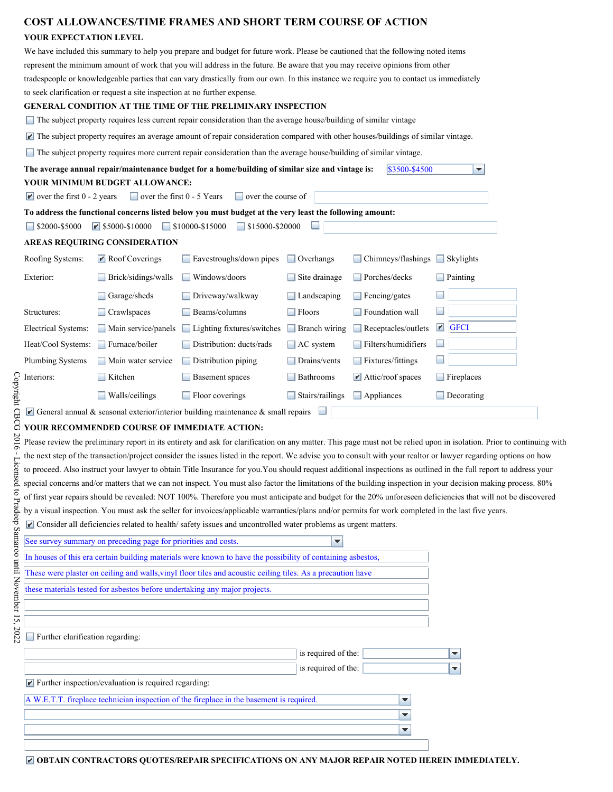### **COST ALLOWANCES/TIME FRAMES AND SHORT TERM COURSE OF ACTION YOUR EXPECTATION LEVEL**  We have included this summary to help you prepare and budget for future work. Please be cautioned that the following noted items represent the minimum amount of work that you will address in the future. Be aware that you may receive opinions from other tradespeople or knowledgeable parties that can vary drastically from our own. In this instance we require you to contact us immediately to seek clarification or request a site inspection at no further expense. **GENERAL CONDITION AT THE TIME OF THE PRELIMINARY INSPECTION**  The subject property requires less current repair consideration than the average house/building of similar vintage The subject property requires an average amount of repair consideration compared with other houses/buildings of similar vintage. The subject property requires more current repair consideration than the average house/building of similar vintage. **The average annual repair/maintenance budget for a home/building of similar size and vintage is:** \$3500-\$4500 ÷ **YOUR MINIMUM BUDGET ALLOWANCE:**   $\blacksquare$  over the first 0 - 2 years  $\blacksquare$  over the first 0 - 5 Years  $\blacksquare$  over the course of **To address the functional concerns listed below you must budget at the very least the following amount:**   $\Box$  \$2000-\$5000  $\Box$  \$5000-\$10000  $\Box$  \$10000-\$15000  $\Box$  \$15000-\$20000  $\Box$ **AREAS REQUIRING CONSIDERATION**  Roofing Systems: Roof Coverings Exvestroughs/down pipes Overhangs Chimneys/flashings Skylights Exterior: Brick/sidings/walls Windows/doors Site drainage Porches/decks Painting Garage/sheds Driveway/walkway Landscaping Fencing/gates  $\Box$ Structures: Crawlspaces Beams/columns Floors Floors Foundation wall  $\Box$ Electrical Systems: Main service/panels Lighting fixtures/switches Branch wiring Receptacles/outlets FGFCI Heat/Cool Systems: Furnace/boiler Distribution: ducts/rads AC system Filters/humidifiers Plumbing Systems Main water service Distribution piping Drains/vents Fixtures/fittings Interiors: Kitchen Basement spaces Bathrooms Attic/roof spaces Fireplaces Walls/ceilings Floor coverings Stairs/railings Appliances Decorating Decorating General annual & seasonal exterior/interior building maintenance & small repairs  $\Box$ **YOUR RECOMMENDED COURSE OF IMMEDIATE ACTION:**  Please review the preliminary report in its entirety and ask for clarification on any matter. This page must not be relied upon in isolation. Prior to continuing with the next step of the transaction/project consider the issues listed in the report. We advise you to consult with your realtor or lawyer regarding options on how to proceed. Also instruct your lawyer to obtain Title Insurance for you.You should request additional inspections as outlined in the full report to address your special concerns and/or matters that we can not inspect. You must also factor the limitations of the building inspection in your decision making process. 80% of first year repairs should be revealed: NOT 100%. Therefore you must anticipate and budget for the 20% unforeseen deficiencies that will not be discovered by a visual inspection. You must ask the seller for invoices/applicable warranties/plans and/or permits for work completed in the last five years.

Consider all deficiencies related to health/ safety issues and uncontrolled water problems as urgent matters.

| See survey summary on preceding page for priorities and costs.                                              | ▼                   |   |
|-------------------------------------------------------------------------------------------------------------|---------------------|---|
| In houses of this era certain building materials were known to have the possibility of containing asbestos, |                     |   |
| These were plaster on ceiling and walls, vinyl floor tiles and acoustic ceiling tiles. As a precaution have |                     |   |
| these materials tested for asbestos before undertaking any major projects.                                  |                     |   |
|                                                                                                             |                     |   |
|                                                                                                             |                     |   |
| Further clarification regarding:                                                                            |                     |   |
|                                                                                                             | is required of the: | ▼ |
|                                                                                                             | is required of the: | ▼ |
| $\blacktriangleright$ Further inspection/evaluation is required regarding:                                  |                     |   |
| A W.E.T.T. fireplace technician inspection of the fireplace in the basement is required.                    | ▼                   |   |
|                                                                                                             | ▼                   |   |
|                                                                                                             | ▼                   |   |
|                                                                                                             |                     |   |

**OBTAIN CONTRACTORS QUOTES/REPAIR SPECIFICATIONS ON ANY MAJOR REPAIR NOTED HEREIN IMMEDIATELY.**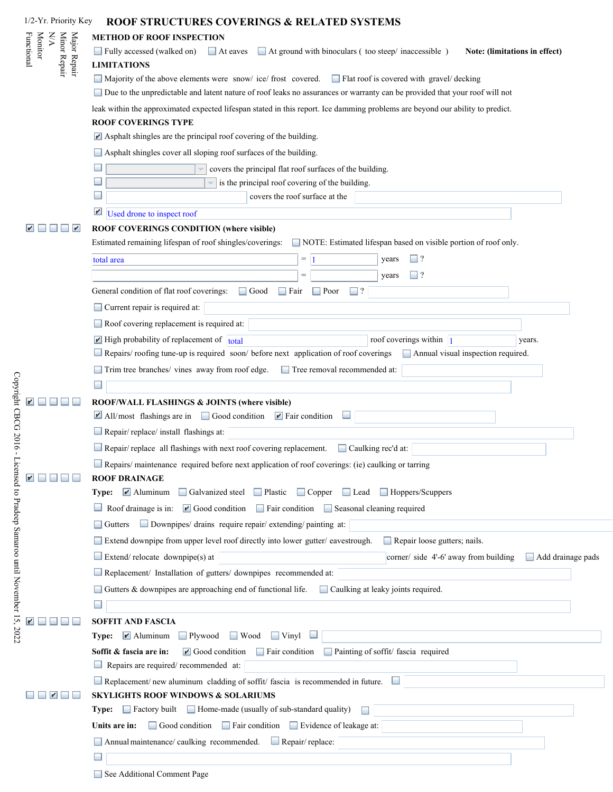| 1/2-Yr. Priority Key                                         | <b>ROOF STRUCTURES COVERINGS &amp; RELATED SYSTEMS</b>                                                                                                                                                                                |
|--------------------------------------------------------------|---------------------------------------------------------------------------------------------------------------------------------------------------------------------------------------------------------------------------------------|
| $\mathbb{N}\mathbb{N}$                                       | <b>METHOD OF ROOF INSPECTION</b>                                                                                                                                                                                                      |
| Minor Repair<br>Major Repair<br><b>Monitor</b><br>Functional | Fully accessed (walked on)<br>At ground with binoculars (too steep/inaccessible)<br>$\Box$ At eaves<br>Note: (limitations in effect)                                                                                                  |
|                                                              | <b>LIMITATIONS</b>                                                                                                                                                                                                                    |
|                                                              | Majority of the above elements were snow/ ice/ frost covered. Flat roof is covered with gravel/ decking<br>Due to the unpredictable and latent nature of roof leaks no assurances or warranty can be provided that your roof will not |
|                                                              | leak within the approximated expected lifespan stated in this report. Ice damming problems are beyond our ability to predict.                                                                                                         |
|                                                              | <b>ROOF COVERINGS TYPE</b>                                                                                                                                                                                                            |
|                                                              | $\blacktriangleright$ Asphalt shingles are the principal roof covering of the building.<br>Asphalt shingles cover all sloping roof surfaces of the building.                                                                          |
|                                                              | covers the principal flat roof surfaces of the building.                                                                                                                                                                              |
|                                                              | is the principal roof covering of the building.                                                                                                                                                                                       |
|                                                              | covers the roof surface at the                                                                                                                                                                                                        |
|                                                              | $\mathbf{r}'$<br>Used drone to inspect roof                                                                                                                                                                                           |
| V                                                            | ROOF COVERINGS CONDITION (where visible)                                                                                                                                                                                              |
|                                                              | Estimated remaining lifespan of roof shingles/coverings:<br>NOTE: Estimated lifespan based on visible portion of roof only.                                                                                                           |
|                                                              | $\Box$ ?<br>$=$ 1<br>years<br>total area                                                                                                                                                                                              |
|                                                              | $\Box$ ?<br>$=$<br>years                                                                                                                                                                                                              |
|                                                              | General condition of flat roof coverings:<br>Good<br>$\Box$ Fair<br>$\Box$ Poor<br>$\Box$ ?                                                                                                                                           |
|                                                              | Current repair is required at:                                                                                                                                                                                                        |
|                                                              | Roof covering replacement is required at:                                                                                                                                                                                             |
|                                                              | $\blacksquare$ High probability of replacement of total<br>roof coverings within $\boxed{1}$<br>years.<br>Repairs/roofing tune-up is required soon/before next application of roof coverings<br>Annual visual inspection required.    |
|                                                              | Trim tree branches/ vines away from roof edge.<br>Tree removal recommended at:                                                                                                                                                        |
|                                                              |                                                                                                                                                                                                                                       |
|                                                              | ROOF/WALL FLASHINGS & JOINTS (where visible)                                                                                                                                                                                          |
|                                                              | $\blacksquare$ All/most flashings are in $\blacksquare$ Good condition $\blacksquare$ Fair condition                                                                                                                                  |
|                                                              | $\Box$ Repair/replace/ install flashings at:                                                                                                                                                                                          |
|                                                              | Repair/replace all flashings with next roof covering replacement.<br>$\Box$ Caulking rec'd at:                                                                                                                                        |
|                                                              | Repairs/maintenance required before next application of roof coverings: (ie) caulking or tarring<br><b>ROOF DRAINAGE</b>                                                                                                              |
|                                                              | Type: MAluminum<br>Galvanized steel Plastic Copper Lead Hoppers/Scuppers                                                                                                                                                              |
|                                                              | Roof drainage is in: $\mathbb{F}$ Good condition $\Box$ Fair condition $\Box$ Seasonal cleaning required                                                                                                                              |
|                                                              | Gutters Downpipes/ drains require repair/ extending/ painting at:                                                                                                                                                                     |
|                                                              | Extend downpipe from upper level roof directly into lower gutter/eavestrough.<br>Repair loose gutters; nails.                                                                                                                         |
|                                                              | $\Box$ Extend/relocate downpipe(s) at<br>corner/ side 4'-6' away from building<br>Add drainage pads                                                                                                                                   |
|                                                              | Replacement/ Installation of gutters/ downpipes recommended at:                                                                                                                                                                       |
|                                                              | Gutters & downpipes are approaching end of functional life.<br>Caulking at leaky joints required.                                                                                                                                     |
|                                                              | <b>SOFFIT AND FASCIA</b>                                                                                                                                                                                                              |
|                                                              | Type: <u>Maluminum</u><br>$\Box$ Plywood<br>$\Box$ Wood<br>$\Box$ Vinyl                                                                                                                                                               |
|                                                              | Fair condition Painting of soffit/ fascia required<br>$\blacksquare$ Good condition<br>Soffit & fascia are in:<br>Repairs are required/ recommended at:                                                                               |
|                                                              | $\Box$ Replacement/new aluminum cladding of soffit/fascia is recommended in future.                                                                                                                                                   |
|                                                              | <b>SKYLIGHTS ROOF WINDOWS &amp; SOLARIUMS</b>                                                                                                                                                                                         |
|                                                              | Type: Factory built Home-made (usually of sub-standard quality)<br>Units are in:<br>Good condition<br>$\Box$ Fair condition<br>Evidence of leakage at:                                                                                |
|                                                              | Annual maintenance/ caulking recommended. Repair/replace:                                                                                                                                                                             |
|                                                              |                                                                                                                                                                                                                                       |
|                                                              |                                                                                                                                                                                                                                       |

See Additional Comment Page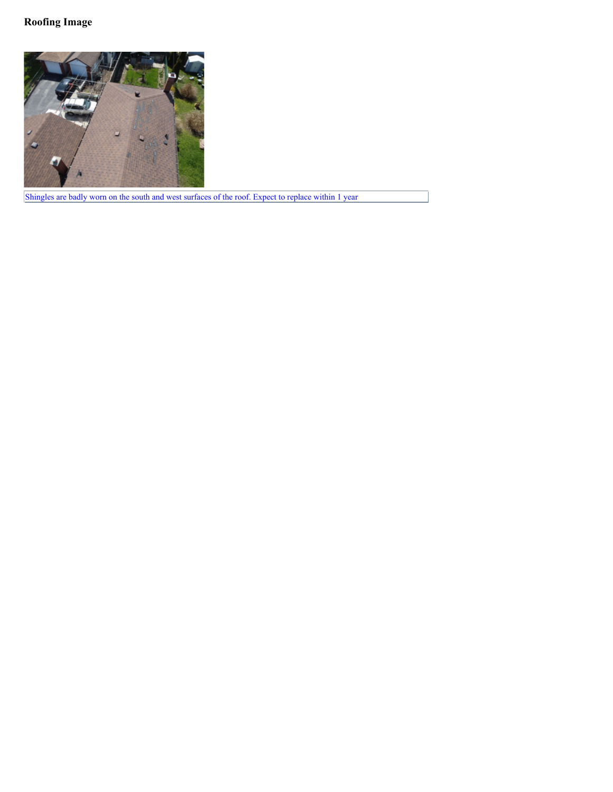

Shingles are badly worn on the south and west surfaces of the roof. Expect to replace within 1 year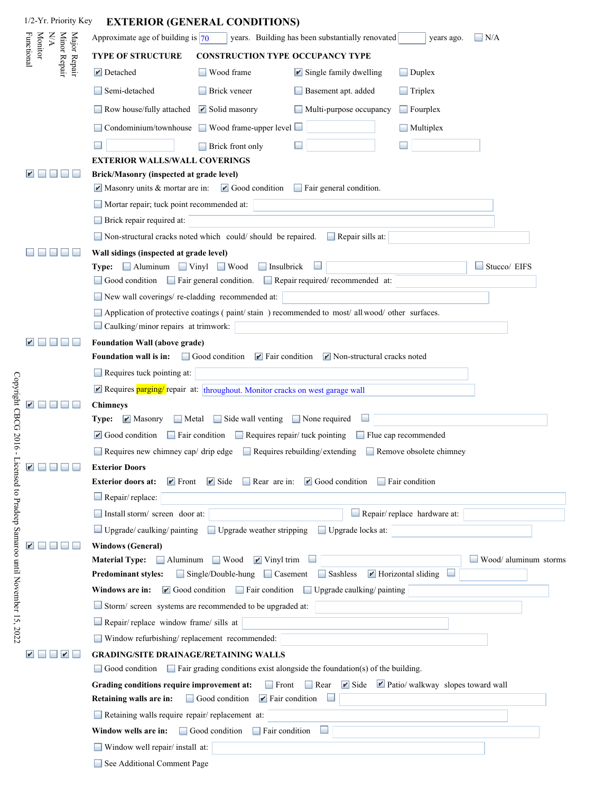| 1/2-Yr. Priority Key                                         | <b>EXTERIOR (GENERAL CONDITIONS)</b>                                                                                                                                                                                |
|--------------------------------------------------------------|---------------------------------------------------------------------------------------------------------------------------------------------------------------------------------------------------------------------|
| $\mathbb{W}\mathbb{A}$                                       | Approximate age of building is $ 70\rangle$<br>years. Building has been substantially renovated<br>$\Box$ N/A<br>years ago.                                                                                         |
| <b>Monitor</b><br>Minor Repair<br>Major Repair<br>Functional | <b>TYPE OF STRUCTURE</b><br><b>CONSTRUCTION TYPE OCCUPANCY TYPE</b>                                                                                                                                                 |
|                                                              | Wood frame<br>$\blacktriangleright$ Detached<br>$\blacktriangleright$ Single family dwelling<br>$\Box$ Duplex                                                                                                       |
|                                                              | <b>Brick</b> veneer<br>Semi-detached<br>Basement apt. added<br>$\Box$ Triplex                                                                                                                                       |
|                                                              | Row house/fully attached<br>$\blacktriangleright$ Solid masonry<br>Multi-purpose occupancy<br>$\Box$ Fourplex                                                                                                       |
|                                                              | Condominium/townhouse<br>$\Box$ Wood frame-upper level $\Box$<br>Multiplex                                                                                                                                          |
|                                                              | Brick front only                                                                                                                                                                                                    |
|                                                              | <b>EXTERIOR WALLS/WALL COVERINGS</b>                                                                                                                                                                                |
|                                                              | Brick/Masonry (inspected at grade level)                                                                                                                                                                            |
|                                                              | $\blacktriangleright$ Masonry units & mortar are in:<br>$\blacktriangleright$ Good condition<br>Fair general condition.                                                                                             |
|                                                              | Mortar repair; tuck point recommended at:                                                                                                                                                                           |
|                                                              | Brick repair required at:                                                                                                                                                                                           |
|                                                              | Non-structural cracks noted which could/should be repaired.<br>Repair sills at:                                                                                                                                     |
|                                                              | Wall sidings (inspected at grade level)<br>Type: Aluminum Vinyl Wood<br>$\Box$ Insulbrick<br>Stucco/ EIFS                                                                                                           |
|                                                              | Good condition<br>Fair general condition. Repair required/ recommended at:                                                                                                                                          |
|                                                              | New wall coverings/re-cladding recommended at:                                                                                                                                                                      |
|                                                              | Application of protective coatings (paint/stain) recommended to most/ all wood/ other surfaces.                                                                                                                     |
|                                                              | Caulking/minor repairs at trimwork:                                                                                                                                                                                 |
|                                                              | <b>Foundation Wall (above grade)</b>                                                                                                                                                                                |
|                                                              | Foundation wall is in:<br>Good condition<br>$\blacktriangleright$ Fair condition<br>$\blacktriangleright$ Non-structural cracks noted                                                                               |
|                                                              | Requires tuck pointing at:                                                                                                                                                                                          |
|                                                              | Requires parging/repair at: throughout. Monitor cracks on west garage wall                                                                                                                                          |
|                                                              | <b>Chimneys</b>                                                                                                                                                                                                     |
|                                                              | Metal Side wall venting<br><b>Type:</b> $\mathbb{I}$ Masonry<br>$\Box$ None required<br>$\blacksquare$ Good condition<br>$\Box$ Fair condition $\Box$ Requires repair/ tuck pointing<br>$\Box$ Flue cap recommended |
|                                                              | Requires new chimney cap/ drip edge<br>$\Box$ Requires rebuilding/extending<br>Remove obsolete chimney                                                                                                              |
| K<br>and the first time                                      | <b>Exterior Doors</b>                                                                                                                                                                                               |
|                                                              | $\blacksquare$ Good condition<br><b>Exterior doors at:</b><br>$\blacktriangleright$ Side<br>$\Box$ Rear are in:<br>$\blacktriangleright$ Front<br>$\Box$ Fair condition                                             |
|                                                              | $\Box$ Repair/replace:                                                                                                                                                                                              |
|                                                              | Repair/replace hardware at:<br>Install storm/ screen door at:                                                                                                                                                       |
|                                                              | $\Box$ Upgrade/ caulking/ painting<br>Upgrade weather stripping<br>Upgrade locks at:                                                                                                                                |
|                                                              | <b>Windows (General)</b>                                                                                                                                                                                            |
|                                                              | $\Box$ Aluminum<br>Wood/ aluminum storms<br><b>Material Type:</b><br>$\Box$ Wood<br>$\blacktriangleright$ Vinyl trim                                                                                                |
|                                                              | Sashless<br>$\blacktriangleright$ Horizontal sliding<br>$\Box$ Single/Double-hung<br>$\Box$ Casement<br><b>Predominant styles:</b>                                                                                  |
|                                                              | $\blacksquare$ Good condition<br>Fair condition<br>Upgrade caulking/painting<br>Windows are in:                                                                                                                     |
|                                                              | Storm/ screen systems are recommended to be upgraded at:                                                                                                                                                            |
|                                                              | $\Box$ Repair/ replace window frame/ sills at                                                                                                                                                                       |
| $\mathbf{r}$                                                 | Window refurbishing/ replacement recommended:<br><b>GRADING/SITE DRAINAGE/RETAINING WALLS</b>                                                                                                                       |
|                                                              | $\Box$ Fair grading conditions exist alongside the foundation(s) of the building.<br>Good condition                                                                                                                 |
|                                                              | $\blacktriangleright$ Side<br>Patio/walkway slopes toward wall<br>$\Box$ Rear<br>Grading conditions require improvement at:<br>$\Box$ Front                                                                         |
|                                                              | Retaining walls are in:<br>$\Box$ Good condition<br>$\blacktriangleright$ Fair condition                                                                                                                            |
|                                                              | Retaining walls require repair/replacement at:                                                                                                                                                                      |
|                                                              | Fair condition<br>Window wells are in:<br>$\Box$ Good condition                                                                                                                                                     |
|                                                              | Window well repair/ install at:                                                                                                                                                                                     |
|                                                              | See Additional Comment Page                                                                                                                                                                                         |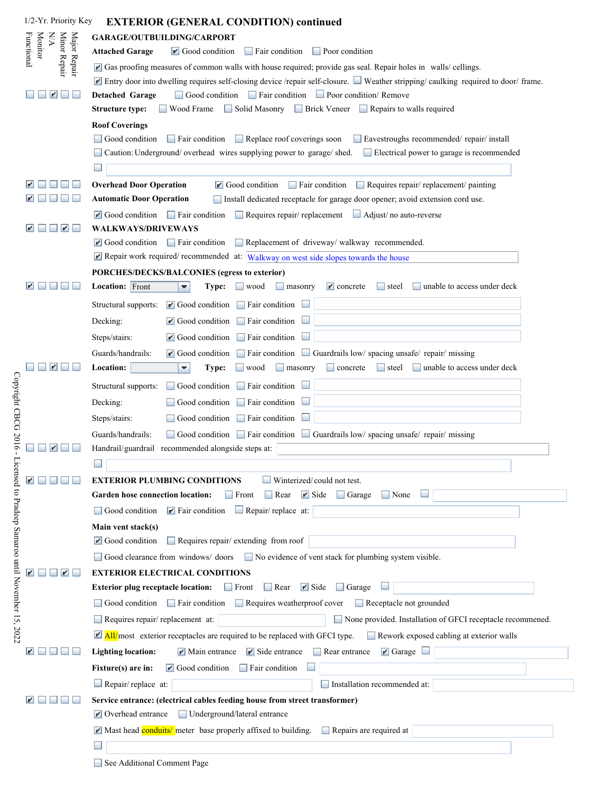| 1/2-Yr. Priority Key         | <b>EXTERIOR (GENERAL CONDITION) continued</b>                                                                                                                                                                                       |
|------------------------------|-------------------------------------------------------------------------------------------------------------------------------------------------------------------------------------------------------------------------------------|
| <b>A/A</b>                   | GARAGE/OUTBUILDING/CARPORT                                                                                                                                                                                                          |
| <b>Monitor</b><br>Functional | <b>Attached Garage</b><br>$\blacksquare$ Good condition<br>$\Box$ Fair condition<br><b>Poor</b> condition                                                                                                                           |
| Minor Repair<br>Major Repair | Gas proofing measures of common walls with house required; provide gas seal. Repair holes in walls/ cellings.                                                                                                                       |
|                              | Entry door into dwelling requires self-closing device /repair self-closure. Weather stripping/ caulking required to door/ frame.                                                                                                    |
|                              | Good condition Fair condition Poor condition/ Remove<br><b>Detached Garage</b>                                                                                                                                                      |
|                              | Solid Masonry<br>Brick Veneer Repairs to walls required<br><b>Structure type:</b><br>Wood Frame                                                                                                                                     |
|                              | <b>Roof Coverings</b>                                                                                                                                                                                                               |
|                              | $\Box$ Replace roof coverings soon<br>Good condition<br>$\Box$ Fair condition<br>Eavestroughs recommended/repair/install                                                                                                            |
|                              | Electrical power to garage is recommended<br>Caution: Underground/overhead wires supplying power to garage/shed.                                                                                                                    |
|                              |                                                                                                                                                                                                                                     |
|                              | <b>Overhead Door Operation</b><br>$\blacksquare$ Good condition<br>$\Box$ Fair condition<br>Requires repair/replacement/painting                                                                                                    |
|                              | <b>Automatic Door Operation</b><br>Install dedicated receptacle for garage door opener; avoid extension cord use.                                                                                                                   |
|                              | $\blacksquare$ Good condition $\blacksquare$ Fair condition<br>Requires repair/replacement<br>$\Box$ Adjust/no auto-reverse                                                                                                         |
| $\blacktriangleright$        | WALKWAYS/DRIVEWAYS<br>$\mathbf{r}$ Good condition<br>$\Box$ Fair condition                                                                                                                                                          |
|                              | Replacement of driveway/ walkway recommended.<br>Repair work required/recommended at: Walkway on west side slopes towards the house                                                                                                 |
|                              | PORCHES/DECKS/BALCONIES (egress to exterior)                                                                                                                                                                                        |
|                              | <b>Location:</b> Front<br>unable to access under deck<br>Type:<br>$\Box$ wood<br>masonry<br>$\mathbf{r}'$ concrete<br>steel<br>▼                                                                                                    |
|                              | $\blacksquare$ Good condition $\blacksquare$ Fair condition<br>Structural supports:                                                                                                                                                 |
|                              | $\blacksquare$ Good condition<br>$\Box$ Fair condition<br>Decking:                                                                                                                                                                  |
|                              | $\blacksquare$ Good condition<br>$\Box$ Fair condition<br>Steps/stairs:                                                                                                                                                             |
|                              | Guards/handrails:                                                                                                                                                                                                                   |
|                              | $\blacksquare$ Good condition $\blacksquare$ Fair condition $\blacksquare$ Guardrails low/ spacing unsafe/ repair/ missing<br>Location:<br>unable to access under deck<br>Type:<br>concrete<br>$\Box$ steel<br>▼<br>wood<br>masonry |
|                              |                                                                                                                                                                                                                                     |
|                              | Fair condition<br>Structural supports:<br>Good condition<br><b>The Contract of the Contract of the Contract</b>                                                                                                                     |
|                              | $\Box$ Fair condition<br>Decking:<br>Good condition                                                                                                                                                                                 |
|                              | $\Box$ Fair condition<br>Steps/stairs:<br>Good condition                                                                                                                                                                            |
|                              | Guards/handrails:<br>Good condition $\Box$ Fair condition $\Box$ Guardrails low/ spacing unsafe/ repair/ missing                                                                                                                    |
|                              | Handrail/guardrail recommended alongside steps at:                                                                                                                                                                                  |
|                              |                                                                                                                                                                                                                                     |
|                              | $\Box$ Winterized/could not test.<br><b>EXTERIOR PLUMBING CONDITIONS</b><br>Garden hose connection location:<br>$\blacktriangleright$ Side<br>Front<br>$\Box$ Rear<br>$\Box$ Garage<br>$\Box$ None                                  |
|                              |                                                                                                                                                                                                                                     |
|                              | Repair/replace at:<br>Good condition<br>$\blacktriangleright$ Fair condition                                                                                                                                                        |
|                              | Main vent stack(s)<br>$\blacksquare$ Good condition<br>$\Box$ Requires repair/ extending from roof                                                                                                                                  |
|                              | Good clearance from windows/ doors No evidence of vent stack for plumbing system visible.                                                                                                                                           |
|                              | <b>EXTERIOR ELECTRICAL CONDITIONS</b>                                                                                                                                                                                               |
|                              | $\blacktriangleright$ Side<br><b>Exterior plug receptacle location:</b><br>$\Box$ Rear<br>$\Box$ Garage<br>$\Box$ Front                                                                                                             |
|                              | Good condition $\Box$ Fair condition<br>Requires weatherproof cover<br>Receptacle not grounded                                                                                                                                      |
|                              | Requires repair/replacement at:<br>None provided. Installation of GFCI receptacle recommened.                                                                                                                                       |
|                              | $\blacksquare$ All/most exterior receptacles are required to be replaced with GFCI type.<br>Rework exposed cabling at exterior walls                                                                                                |
|                              | $\blacktriangleright$ Side entrance<br>$\blacksquare$ Garage $\blacksquare$<br><b>Lighting location:</b><br>$\blacksquare$ Main entrance<br>Rear entrance                                                                           |
|                              | $\blacksquare$ Good condition<br>Fixture(s) are in:<br>Fair condition                                                                                                                                                               |
|                              | $\Box$ Repair/replace at:<br>Installation recommended at:                                                                                                                                                                           |
|                              | Service entrance: (electrical cables feeding house from street transformer)                                                                                                                                                         |
|                              | $\triangleright$ Overhead entrance<br>Underground/lateral entrance                                                                                                                                                                  |
|                              | Mast head conduits/ meter base properly affixed to building.<br>Repairs are required at                                                                                                                                             |
|                              |                                                                                                                                                                                                                                     |
|                              |                                                                                                                                                                                                                                     |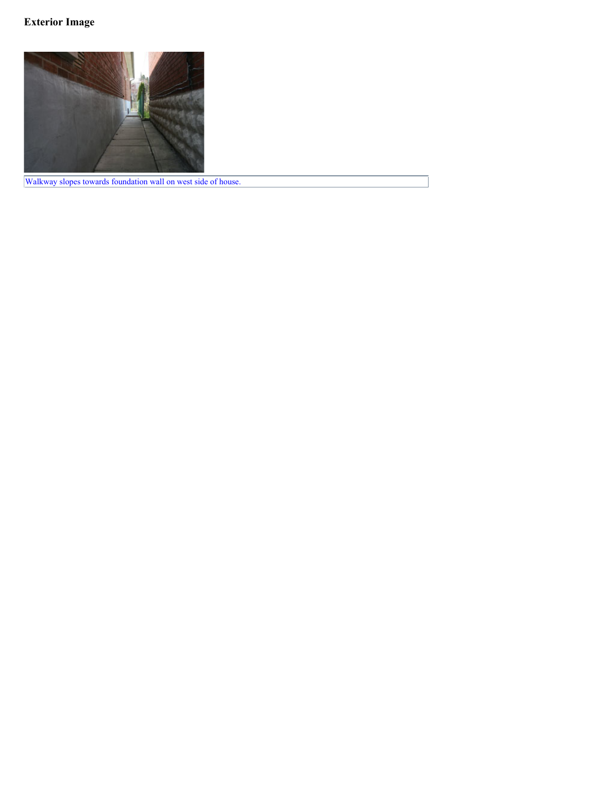# **Exterior Image**



Walkway slopes towards foundation wall on west side of house.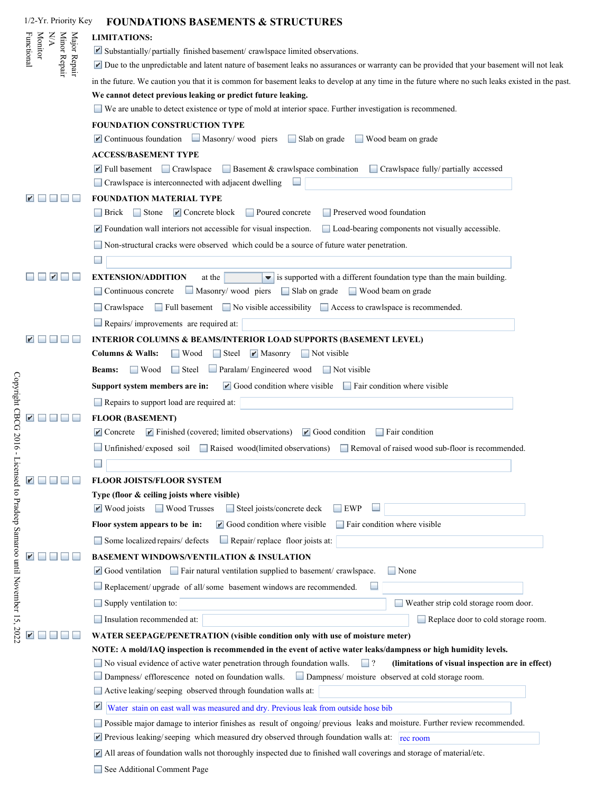| 1/2-Yr. Priority Key                                         | <b>FOUNDATIONS BASEMENTS &amp; STRUCTURES</b>                                                                                                                                             |
|--------------------------------------------------------------|-------------------------------------------------------------------------------------------------------------------------------------------------------------------------------------------|
| NA                                                           | <b>LIMITATIONS:</b>                                                                                                                                                                       |
| <b>Monitor</b><br>Minor Repair<br>Major Repair<br>Functional | $\blacktriangleright$ Substantially/partially finished basement/crawlspace limited observations.                                                                                          |
|                                                              | Due to the unpredictable and latent nature of basement leaks no assurances or warranty can be provided that your basement will not leak                                                   |
|                                                              | in the future. We caution you that it is common for basement leaks to develop at any time in the future where no such leaks existed in the past.                                          |
|                                                              | We cannot detect previous leaking or predict future leaking.                                                                                                                              |
|                                                              | $\Box$ We are unable to detect existence or type of mold at interior space. Further investigation is recommened.                                                                          |
|                                                              | FOUNDATION CONSTRUCTION TYPE                                                                                                                                                              |
|                                                              | $\blacksquare$ Continuous foundation $\blacksquare$ Masonry/ wood piers<br>$\Box$ Slab on grade<br>Wood beam on grade                                                                     |
|                                                              | <b>ACCESS/BASEMENT TYPE</b>                                                                                                                                                               |
|                                                              | $\blacksquare$ Full basement $\blacksquare$ Crawlspace<br>Basement & crawlspace combination Crawlspace fully/ partially accessed                                                          |
|                                                              | Crawlspace is interconnected with adjacent dwelling                                                                                                                                       |
|                                                              | FOUNDATION MATERIAL TYPE                                                                                                                                                                  |
|                                                              | Brick Stone <b>P</b> Concrete block<br>Poured concrete<br>Preserved wood foundation                                                                                                       |
|                                                              | $\blacktriangleright$ Foundation wall interiors not accessible for visual inspection.<br>Load-bearing components not visually accessible.                                                 |
|                                                              | Non-structural cracks were observed which could be a source of future water penetration.                                                                                                  |
|                                                              |                                                                                                                                                                                           |
|                                                              | <b>EXTENSION/ADDITION</b><br>is supported with a different foundation type than the main building.<br>at the<br>$\overline{\phantom{a}}$                                                  |
|                                                              | Masonry/ wood piers Slab on grade<br>Continuous concrete<br>Wood beam on grade                                                                                                            |
|                                                              | $\Box$ Full basement $\Box$ No visible accessibility $\Box$ Access to crawlspace is recommended.                                                                                          |
|                                                              | Repairs/improvements are required at:                                                                                                                                                     |
|                                                              |                                                                                                                                                                                           |
|                                                              | <b>INTERIOR COLUMNS &amp; BEAMS/INTERIOR LOAD SUPPORTS (BASEMENT LEVEL)</b><br><b>Columns &amp; Walls:</b><br>$\blacksquare$ Masonry<br>$\Box$ Not visible<br>$\Box$ Wood<br>$\Box$ Steel |
|                                                              |                                                                                                                                                                                           |
|                                                              | Paralam/Engineered wood<br>$\Box$ Wood<br>$\Box$ Steel<br>$\Box$ Not visible<br><b>Beams:</b>                                                                                             |
|                                                              | $\blacksquare$ Good condition where visible $\blacksquare$ Fair condition where visible<br>Support system members are in:                                                                 |
|                                                              | Repairs to support load are required at:                                                                                                                                                  |
|                                                              | <b>FLOOR (BASEMENT)</b>                                                                                                                                                                   |
|                                                              | $\blacktriangleright$ Finished (covered; limited observations)<br>$\blacksquare$ Concrete<br>$\blacksquare$ Good condition<br>$\Box$ Fair condition                                       |
|                                                              | $\Box$ Unfinished/exposed soil Raised wood(limited observations) Removal of raised wood sub-floor is recommended.                                                                         |
|                                                              |                                                                                                                                                                                           |
|                                                              | FLOOR JOISTS/FLOOR SYSTEM                                                                                                                                                                 |
|                                                              | Type (floor & ceiling joists where visible)                                                                                                                                               |
|                                                              | $\blacktriangleright$ Wood joists<br><b>Wood Trusses</b><br>Steel joists/concrete deck<br>EWP                                                                                             |
|                                                              | Fair condition where visible<br>$\blacktriangleright$ Good condition where visible<br>Floor system appears to be in:                                                                      |
|                                                              | $\Box$ Repair/replace floor joists at:<br>Some localized repairs/ defects                                                                                                                 |
|                                                              | <b>BASEMENT WINDOWS/VENTILATION &amp; INSULATION</b>                                                                                                                                      |
|                                                              | $\blacksquare$ Good ventilation $\blacksquare$ Fair natural ventilation supplied to basement/crawlspace.<br>None                                                                          |
|                                                              | Replacement/ upgrade of all/some basement windows are recommended.                                                                                                                        |
|                                                              | Supply ventilation to:<br>Weather strip cold storage room door.                                                                                                                           |
|                                                              | Insulation recommended at:<br>Replace door to cold storage room.                                                                                                                          |
|                                                              | <b>WATER SEEPAGE/PENETRATION (visible condition only with use of moisture meter)</b>                                                                                                      |
|                                                              | NOTE: A mold/IAQ inspection is recommended in the event of active water leaks/dampness or high humidity levels.                                                                           |
|                                                              | No visual evidence of active water penetration through foundation walls.<br>$\Box$ ?<br>(limitations of visual inspection are in effect)                                                  |
|                                                              | Dampness/ efflorescence noted on foundation walls.<br><u>Dampness</u> / moisture observed at cold storage room.                                                                           |
|                                                              | Active leaking/seeping observed through foundation walls at:                                                                                                                              |
|                                                              | $\mathbf{r}$<br>Water stain on east wall was measured and dry. Previous leak from outside hose bib                                                                                        |
|                                                              | Possible major damage to interior finishes as result of ongoing/previous leaks and moisture. Further review recommended.                                                                  |
|                                                              | $\blacktriangleright$ Previous leaking/seeping which measured dry observed through foundation walls at: $\frac{r}{r}$ rec room                                                            |
|                                                              | $\blacktriangleright$ All areas of foundation walls not thoroughly inspected due to finished wall coverings and storage of material/etc.                                                  |
|                                                              |                                                                                                                                                                                           |

|  | See Additional Comment Page |
|--|-----------------------------|
|  |                             |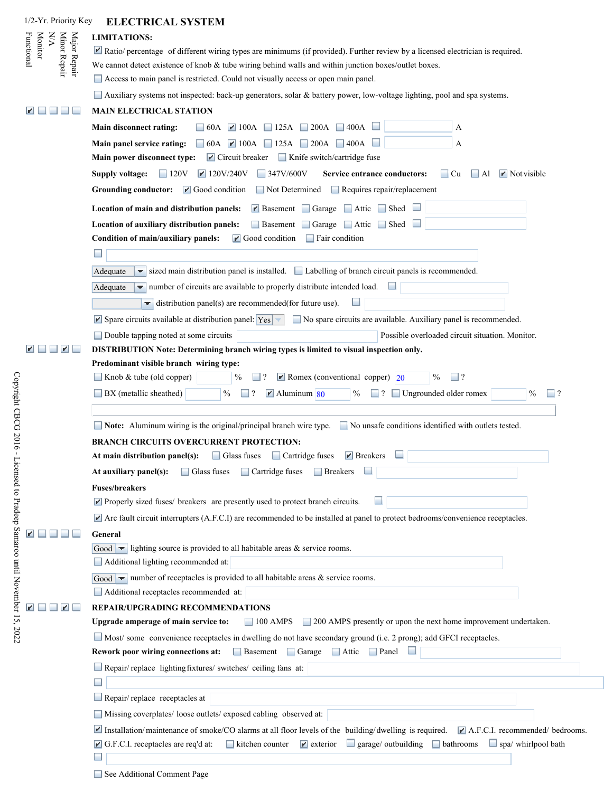| 1/2-Yr. Priority Key                                         | <b>ELECTRICAL SYSTEM</b>                                                                                                                                                                                                                                                                                                          |
|--------------------------------------------------------------|-----------------------------------------------------------------------------------------------------------------------------------------------------------------------------------------------------------------------------------------------------------------------------------------------------------------------------------|
| NN                                                           | <b>LIMITATIONS:</b>                                                                                                                                                                                                                                                                                                               |
| Minor Repair<br>Major Repair<br><b>Monitor</b><br>Functional | Ratio/percentage of different wiring types are minimums (if provided). Further review by a licensed electrician is required.                                                                                                                                                                                                      |
|                                                              | We cannot detect existence of knob & tube wiring behind walls and within junction boxes/outlet boxes.                                                                                                                                                                                                                             |
|                                                              | Access to main panel is restricted. Could not visually access or open main panel.                                                                                                                                                                                                                                                 |
|                                                              | Auxiliary systems not inspected: back-up generators, solar & battery power, low-voltage lighting, pool and spa systems.                                                                                                                                                                                                           |
|                                                              | <b>MAIN ELECTRICAL STATION</b>                                                                                                                                                                                                                                                                                                    |
|                                                              | Main disconnect rating:<br>$\Box$ 60A $\Box$ 100A $\Box$ 125A $\Box$ 200A $\Box$ 400A<br>А                                                                                                                                                                                                                                        |
|                                                              | $\Box$ 60A $\Box$ 100A $\Box$ 125A $\Box$ 200A $\Box$ 400A<br>Main panel service rating:<br>А                                                                                                                                                                                                                                     |
|                                                              | $\blacktriangleright$ Circuit breaker<br>$\Box$ Knife switch/cartridge fuse<br>Main power disconnect type:                                                                                                                                                                                                                        |
|                                                              | $\blacktriangleright$ 120V/240V<br>$\Box$ 347V/600V<br>Service entrance conductors:<br>$\blacktriangleright$ Not visible<br>Supply voltage:<br>$\Box$ 120V<br>$\Box$ Cu<br>$\Box$ Al                                                                                                                                              |
|                                                              | $\blacktriangleright$ Good condition<br>Not Determined<br>$\Box$ Requires repair/replacement<br>Grounding conductor:                                                                                                                                                                                                              |
|                                                              | Location of main and distribution panels:<br>$\blacktriangleright$ Basement Garage Attic<br><b>□</b> Shed                                                                                                                                                                                                                         |
|                                                              | Basement Garage Attic Shed<br>Location of auxiliary distribution panels:                                                                                                                                                                                                                                                          |
|                                                              | Condition of main/auxiliary panels:<br>$\blacksquare$ Good condition<br>$\Box$ Fair condition                                                                                                                                                                                                                                     |
|                                                              |                                                                                                                                                                                                                                                                                                                                   |
|                                                              | sized main distribution panel is installed. $\Box$ Labelling of branch circuit panels is recommended.<br>Adequate<br>▼                                                                                                                                                                                                            |
|                                                              |                                                                                                                                                                                                                                                                                                                                   |
|                                                              | $\blacktriangleright$ number of circuits are available to properly distribute intended load.<br>Adequate                                                                                                                                                                                                                          |
|                                                              | $\blacktriangleright$ distribution panel(s) are recommended(for future use).                                                                                                                                                                                                                                                      |
|                                                              | $\blacktriangleright$ Spare circuits available at distribution panel: $\blacktriangleright$ $\blacktriangleright$<br>No spare circuits are available. Auxiliary panel is recommended.                                                                                                                                             |
|                                                              | Double tapping noted at some circuits<br>Possible overloaded circuit situation. Monitor.                                                                                                                                                                                                                                          |
| $\blacktriangleright$                                        | DISTRIBUTION Note: Determining branch wiring types is limited to visual inspection only.                                                                                                                                                                                                                                          |
|                                                              | Predominant visible branch wiring type:<br>Knob & tube (old copper)<br>$\blacktriangleright$ Romex (conventional copper) 20<br>$\%$<br>$\Box$ ?<br>%                                                                                                                                                                              |
|                                                              |                                                                                                                                                                                                                                                                                                                                   |
|                                                              | Ungrounded older romex<br>BX (metallic sheathed)<br>$\%$<br>$\overline{\mathcal{L}}$<br>$\blacktriangleright$ Aluminum 80<br>$\overline{?}$<br>$\frac{0}{0}$<br>$\vert$ ?<br>$\%$                                                                                                                                                 |
|                                                              | ■ Note: Aluminum wiring is the original/principal branch wire type. ■ No unsafe conditions identified with outlets tested.                                                                                                                                                                                                        |
|                                                              | <b>BRANCH CIRCUITS OVERCURRENT PROTECTION:</b>                                                                                                                                                                                                                                                                                    |
|                                                              | At main distribution panel(s): $\ \cdot\ $ Glass fuses $\ \cdot\ $ Cartridge fuses $\ \cdot\ $ Breakers                                                                                                                                                                                                                           |
|                                                              | Glass fuses Cartridge fuses<br>At auxiliary panel(s):<br>$\Box$ Breakers                                                                                                                                                                                                                                                          |
|                                                              | <b>Fuses/breakers</b>                                                                                                                                                                                                                                                                                                             |
|                                                              | Properly sized fuses/ breakers are presently used to protect branch circuits.                                                                                                                                                                                                                                                     |
|                                                              | $\blacktriangleright$ Arc fault circuit interrupters (A.F.C.I) are recommended to be installed at panel to protect bedrooms/convenience receptacles.                                                                                                                                                                              |
|                                                              | General                                                                                                                                                                                                                                                                                                                           |
|                                                              | Good $\blacktriangleright$ lighting source is provided to all habitable areas & service rooms.                                                                                                                                                                                                                                    |
|                                                              | Additional lighting recommended at:                                                                                                                                                                                                                                                                                               |
|                                                              | Good $\blacktriangleright$ number of receptacles is provided to all habitable areas & service rooms.                                                                                                                                                                                                                              |
|                                                              | Additional receptacles recommended at:                                                                                                                                                                                                                                                                                            |
|                                                              | REPAIR/UPGRADING RECOMMENDATIONS                                                                                                                                                                                                                                                                                                  |
|                                                              | 100 AMPS 200 AMPS presently or upon the next home improvement undertaken.<br>Upgrade amperage of main service to:                                                                                                                                                                                                                 |
|                                                              | Most/some convenience receptacles in dwelling do not have secondary ground (i.e. 2 prong); add GFCI receptacles.                                                                                                                                                                                                                  |
|                                                              | Basement Garage Attic Panel<br>Rework poor wiring connections at:                                                                                                                                                                                                                                                                 |
|                                                              | Repair/replace lighting fixtures/ switches/ ceiling fans at:                                                                                                                                                                                                                                                                      |
|                                                              |                                                                                                                                                                                                                                                                                                                                   |
|                                                              | Repair/replace receptacles at                                                                                                                                                                                                                                                                                                     |
|                                                              | Missing coverplates/ loose outlets/ exposed cabling observed at:                                                                                                                                                                                                                                                                  |
|                                                              |                                                                                                                                                                                                                                                                                                                                   |
|                                                              | Installation/maintenance of smoke/CO alarms at all floor levels of the building/dwelling is required. I A.F.C.I. recommended/ bedrooms.<br>kitchen counter $\blacksquare$ exterior $\blacksquare$ garage/ outbuilding $\blacksquare$ bathrooms<br>$\Box$ spa/ whirlpool bath<br>$\blacksquare$ G.F.C.I. receptacles are req'd at: |
|                                                              |                                                                                                                                                                                                                                                                                                                                   |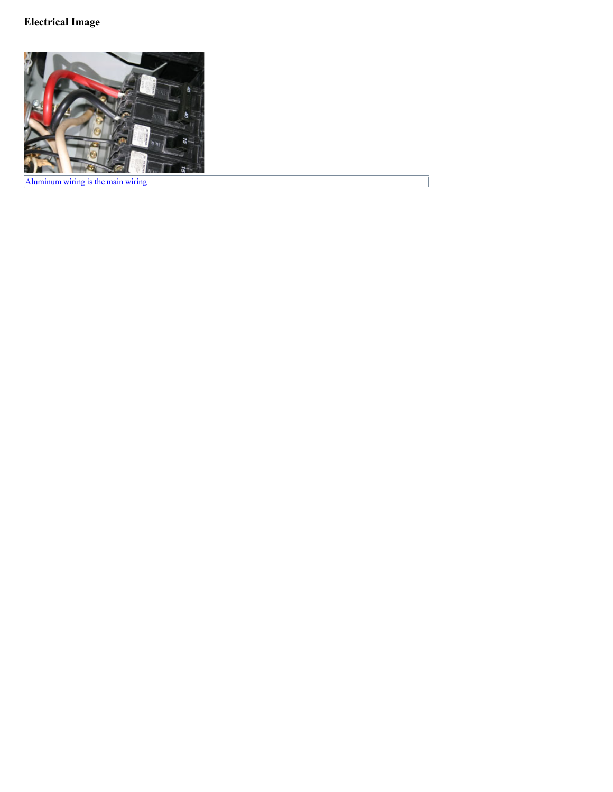# **Electrical Image**



Aluminum wiring is the main wiring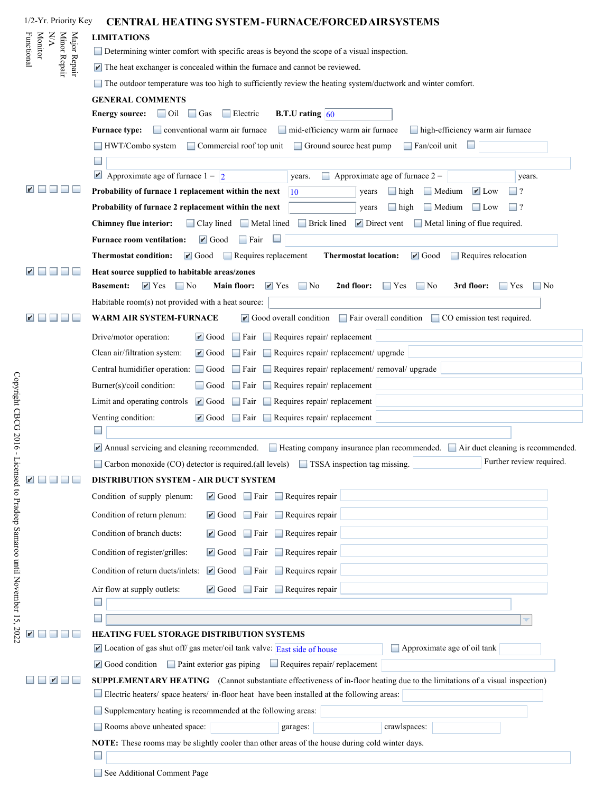| 1/2-Yr. Priority Key                                                     | <b>CENTRAL HEATING SYSTEM-FURNACE/FORCED AIR SYSTEMS</b>                                                                                                                                     |
|--------------------------------------------------------------------------|----------------------------------------------------------------------------------------------------------------------------------------------------------------------------------------------|
| $\mathbb{N}\mathbb{A}$                                                   | <b>LIMITATIONS</b>                                                                                                                                                                           |
| Minor Repair<br>Major Repair<br><b>Monitor</b><br><sup>-</sup> unctional | Determining winter comfort with specific areas is beyond the scope of a visual inspection.                                                                                                   |
|                                                                          | $\blacktriangleright$ The heat exchanger is concealed within the furnace and cannot be reviewed.                                                                                             |
|                                                                          | The outdoor temperature was too high to sufficiently review the heating system/ductwork and winter comfort.                                                                                  |
|                                                                          | <b>GENERAL COMMENTS</b>                                                                                                                                                                      |
|                                                                          | <b>B.T.U</b> rating $\vert$ 60<br><b>Energy source:</b><br>$\Box$ Oil<br>$\Box$ Gas<br>$\Box$ Electric                                                                                       |
|                                                                          | conventional warm air furnace<br>mid-efficiency warm air furnace<br><b>Furnace type:</b><br>high-efficiency warm air furnace                                                                 |
|                                                                          | Fan/coil unit<br>Commercial roof top unit<br>Ground source heat pump<br>HWT/Combo system                                                                                                     |
|                                                                          |                                                                                                                                                                                              |
|                                                                          | Approximate age of furnace $1 = \boxed{2}$<br>Approximate age of furnace $2 =$<br>years.<br>years.                                                                                           |
|                                                                          | Probability of furnace 1 replacement within the next<br>Medium<br>$\blacktriangleright$ Low<br>$\Box$ high<br>$\mathbf{1}$ ?<br>10<br>years                                                  |
|                                                                          | Probability of furnace 2 replacement within the next<br>$\Box$ high<br>Medium<br>$\Box$ ?<br>$\Box$ Low<br>years                                                                             |
|                                                                          | <b>Chimney flue interior:</b><br>Clay lined<br><b>Brick lined</b><br>$\blacksquare$ Direct vent<br>$\Box$ Metal lining of flue required.<br>$\Box$ Metal lined                               |
|                                                                          | <b>Furnace room ventilation:</b><br>$\blacksquare$ Good<br>∐ Fair                                                                                                                            |
|                                                                          | $\Box$ Requires replacement<br>$\Box$ Requires relocation<br><b>Thermostat condition:</b><br>$\blacksquare$ Good<br><b>Thermostat location:</b><br>$\blacktriangleright$ Good                |
|                                                                          | Heat source supplied to habitable areas/zones                                                                                                                                                |
|                                                                          | $\blacktriangleright$ Yes<br>$\Box$ No<br>$\mathbf{r}$ Yes<br>$\Box$ No<br>Main floor:<br>2nd floor:<br>$\Box$ No<br>3rd floor:<br><b>Basement:</b><br>$\Box$ Yes<br>$\Box$ Yes<br>$\Box$ No |
|                                                                          | Habitable room(s) not provided with a heat source:                                                                                                                                           |
|                                                                          | $\blacksquare$ Good overall condition $\blacksquare$ Fair overall condition<br>□ CO emission test required.<br>WARM AIR SYSTEM-FURNACE                                                       |
|                                                                          |                                                                                                                                                                                              |
|                                                                          | $\Box$ Fair $\Box$ Requires repair/ replacement<br>Drive/motor operation:<br>$\blacksquare$ Good                                                                                             |
|                                                                          | Requires repair/replacement/upgrade<br>Clean air/filtration system:<br>$\blacktriangleright$ Good<br>$\Box$ Fair                                                                             |
|                                                                          | Requires repair/ replacement/ removal/ upgrade<br>Central humidifier operation: Good<br>∐ Fair                                                                                               |
|                                                                          | Requires repair/replacement<br>Burner(s)/coil condition:<br>$\Box$ Fair<br>$\Box$ Good                                                                                                       |
|                                                                          | Limit and operating controls<br>$\blacksquare$ Good<br>$\Box$ Fair<br>$\Box$ Requires repair/ replacement                                                                                    |
|                                                                          | $\blacksquare$ Good $\blacksquare$ Fair $\blacksquare$ Requires repair/ replacement<br>Venting condition:                                                                                    |
|                                                                          | Annual servicing and cleaning recommended. $\Box$ Heating company insurance plan recommended. $\Box$ Air duct cleaning is recommended.                                                       |
|                                                                          | Further review required.<br>Carbon monoxide (CO) detector is required.(all levels) TSSA inspection tag missing.                                                                              |
|                                                                          | DISTRIBUTION SYSTEM - AIR DUCT SYSTEM                                                                                                                                                        |
|                                                                          | $\blacksquare$ Good $\blacksquare$ Fair $\blacksquare$ Requires repair<br>Condition of supply plenum:                                                                                        |
|                                                                          | Requires repair<br>Condition of return plenum:<br>$\blacksquare$ Good Fair                                                                                                                   |
|                                                                          | Condition of branch ducts:<br>Requires repair<br>$\blacksquare$ Good Fair                                                                                                                    |
|                                                                          | $\Box$ Requires repair<br>Condition of register/grilles:<br>$\blacksquare$ Good Fair                                                                                                         |
|                                                                          | Requires repair<br>Condition of return ducts/inlets:<br>$\blacksquare$ Good $\blacksquare$ Fair                                                                                              |
|                                                                          | $\Box$ Requires repair<br>Air flow at supply outlets:<br>$\blacksquare$ Good Fair                                                                                                            |
|                                                                          |                                                                                                                                                                                              |
|                                                                          |                                                                                                                                                                                              |
|                                                                          | HEATING FUEL STORAGE DISTRIBUTION SYSTEMS                                                                                                                                                    |
|                                                                          | $\blacktriangleright$ Location of gas shut off/ gas meter/oil tank valve: East side of house<br>Approximate age of oil tank                                                                  |
|                                                                          | $\blacksquare$ Good condition $\blacksquare$ Paint exterior gas piping<br>$\Box$ Requires repair/ replacement                                                                                |
|                                                                          | SUPPLEMENTARY HEATING (Cannot substantiate effectiveness of in-floor heating due to the limitations of a visual inspection)                                                                  |
|                                                                          | Electric heaters/ space heaters/ in-floor heat have been installed at the following areas:                                                                                                   |
|                                                                          | Supplementary heating is recommended at the following areas:                                                                                                                                 |
|                                                                          | Rooms above unheated space:<br>crawlspaces:<br>garages:                                                                                                                                      |
|                                                                          | NOTE: These rooms may be slightly cooler than other areas of the house during cold winter days.                                                                                              |
|                                                                          |                                                                                                                                                                                              |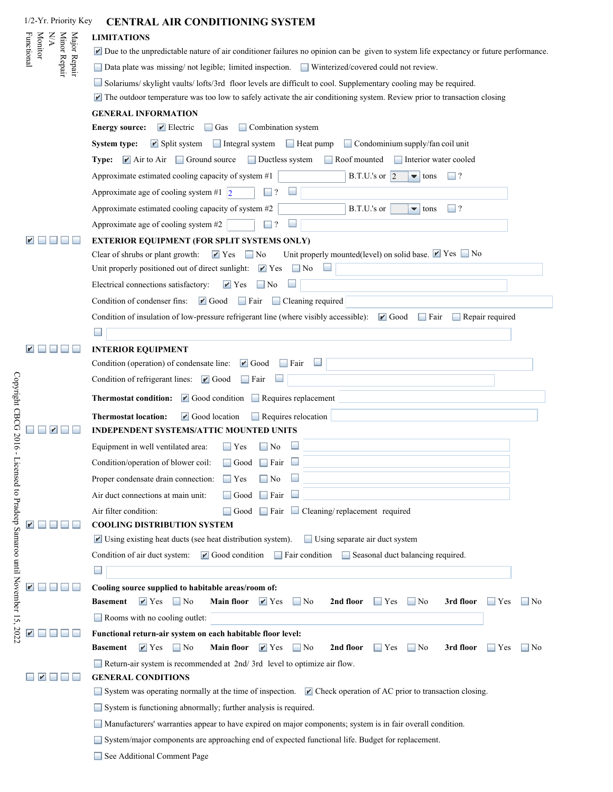| 1/2-Yr. Priority Key         | <b>CENTRAL AIR CONDITIONING SYSTEM</b>                                                                                                                                                         |  |  |  |
|------------------------------|------------------------------------------------------------------------------------------------------------------------------------------------------------------------------------------------|--|--|--|
| NA                           | <b>LIMITATIONS</b>                                                                                                                                                                             |  |  |  |
| <b>Monitor</b><br>Functional | $\blacktriangleright$ Due to the unpredictable nature of air conditioner failures no opinion can be given to system life expectancy or future performance.                                     |  |  |  |
| Minor Repair<br>Major Repair | □ Data plate was missing/ not legible; limited inspection. □ Winterized/covered could not review.                                                                                              |  |  |  |
|                              | Solariums/skylight vaults/lofts/3rd floor levels are difficult to cool. Supplementary cooling may be required.                                                                                 |  |  |  |
|                              | $\blacktriangleright$ The outdoor temperature was too low to safely activate the air conditioning system. Review prior to transaction closing                                                  |  |  |  |
|                              | <b>GENERAL INFORMATION</b>                                                                                                                                                                     |  |  |  |
|                              | $\blacktriangleright$ Electric<br>$\Box$ Combination system<br><b>Energy source:</b><br>$\Box$ Gas                                                                                             |  |  |  |
|                              | $\blacktriangleright$ Split system<br>$\Box$ Integral system<br>$\Box$ Heat pump<br>Condominium supply/fan coil unit<br><b>System type:</b>                                                    |  |  |  |
|                              | <b>Type:</b> $\blacksquare$ Air to Air $\blacksquare$ Ground source<br>Interior water cooled<br>$\Box$ Ductless system<br>$\Box$ Roof mounted                                                  |  |  |  |
|                              | Approximate estimated cooling capacity of system #1<br>B.T.U.'s or $\vert$ 2<br>٠.<br>$\Box$ ?<br>tons                                                                                         |  |  |  |
|                              | Approximate age of cooling system #1 $\vert$ 2                                                                                                                                                 |  |  |  |
|                              | B.T.U.'s or<br>$\sqsupset$ ?<br>Approximate estimated cooling capacity of system #2<br>$\overline{\phantom{a}}$ tons                                                                           |  |  |  |
|                              | Approximate age of cooling system #2<br>$\overline{\mathcal{L}}$                                                                                                                               |  |  |  |
|                              | <b>EXTERIOR EQUIPMENT (FOR SPLIT SYSTEMS ONLY)</b>                                                                                                                                             |  |  |  |
|                              | Unit properly mounted(level) on solid base. Yes No<br>Clear of shrubs or plant growth:<br>$\mathbf{Y}$ Yes<br>$\Box$ No                                                                        |  |  |  |
|                              | Unit properly positioned out of direct sunlight:<br>$\mathbf{Y}$ Yes<br>$\blacksquare$ No                                                                                                      |  |  |  |
|                              | Electrical connections satisfactory:<br>$\blacksquare$ Yes<br>    No                                                                                                                           |  |  |  |
|                              | $\blacksquare$ Good<br>$\Box$ Cleaning required<br>Condition of condenser fins:<br>$\Box$ Fair                                                                                                 |  |  |  |
|                              | Condition of insulation of low-pressure refrigerant line (where visibly accessible):<br>$\blacksquare$ Good<br>$\Box$ Fair $\Box$ Repair required                                              |  |  |  |
|                              | $\overline{\phantom{a}}$                                                                                                                                                                       |  |  |  |
|                              | <b>INTERIOR EQUIPMENT</b>                                                                                                                                                                      |  |  |  |
|                              | Condition (operation) of condensate line:<br>$\blacktriangleright$ Good<br>Fair                                                                                                                |  |  |  |
|                              | Condition of refrigerant lines: [ Good<br>  Fair                                                                                                                                               |  |  |  |
|                              | Thermostat condition:   Good condition   Requires replacement                                                                                                                                  |  |  |  |
|                              | $\blacksquare$ Good location<br><b>Thermostat location:</b><br>Requires relocation                                                                                                             |  |  |  |
|                              | <b>INDEPENDENT SYSTEMS/ATTIC MOUNTED UNITS</b>                                                                                                                                                 |  |  |  |
|                              | Equipment in well ventilated area:<br>$\blacksquare$ Yes<br>No                                                                                                                                 |  |  |  |
|                              | $\Box$ Fair<br>Condition/operation of blower coil:<br>Good                                                                                                                                     |  |  |  |
|                              | Proper condensate drain connection:<br>$\Box$ Yes<br>$\Box$ No                                                                                                                                 |  |  |  |
|                              | Air duct connections at main unit:<br>Good<br>$\Box$ Fair                                                                                                                                      |  |  |  |
|                              | Air filter condition:<br>$\Box$ Fair $\Box$ Cleaning/replacement required<br>Good<br><b>COOLING DISTRIBUTION SYSTEM</b>                                                                        |  |  |  |
|                              | Using existing heat ducts (see heat distribution system).<br>Using separate air duct system                                                                                                    |  |  |  |
|                              | $\blacksquare$ Good condition<br>Condition of air duct system:<br>Fair condition Seasonal duct balancing required.                                                                             |  |  |  |
|                              |                                                                                                                                                                                                |  |  |  |
|                              | Cooling source supplied to habitable areas/room of:                                                                                                                                            |  |  |  |
|                              | $\blacksquare$ Yes<br>$\Box$ No<br><b>Main floor</b><br>$\mathbf{r}$ Yes<br>2nd floor<br>3rd floor<br><b>Basement</b><br>    No<br>$\Box$ No<br>$\blacksquare$ No<br>$\blacksquare$ Yes<br>Yes |  |  |  |
|                              | $\Box$ Rooms with no cooling outlet:                                                                                                                                                           |  |  |  |
|                              | Functional return-air system on each habitable floor level:                                                                                                                                    |  |  |  |
|                              | <b>Main floor</b><br>2nd floor<br>3rd floor<br><b>Basement</b><br>$\mathbf{r}$ Yes<br>$\Box$ No<br>$\mathbf{r}$ Yes<br>$\Box$ No<br>$\blacksquare$ No<br>$\blacksquare$ Yes<br>Yes<br>    No   |  |  |  |
|                              | Return-air system is recommended at 2nd/3rd level to optimize air flow.                                                                                                                        |  |  |  |
|                              | <b>GENERAL CONDITIONS</b>                                                                                                                                                                      |  |  |  |
|                              | System was operating normally at the time of inspection. $\mathbb{Z}$ Check operation of AC prior to transaction closing.                                                                      |  |  |  |
|                              | System is functioning abnormally; further analysis is required.                                                                                                                                |  |  |  |
|                              | Manufacturers' warranties appear to have expired on major components; system is in fair overall condition.                                                                                     |  |  |  |
|                              | System/major components are approaching end of expected functional life. Budget for replacement.                                                                                               |  |  |  |
|                              | See Additional Comment Page                                                                                                                                                                    |  |  |  |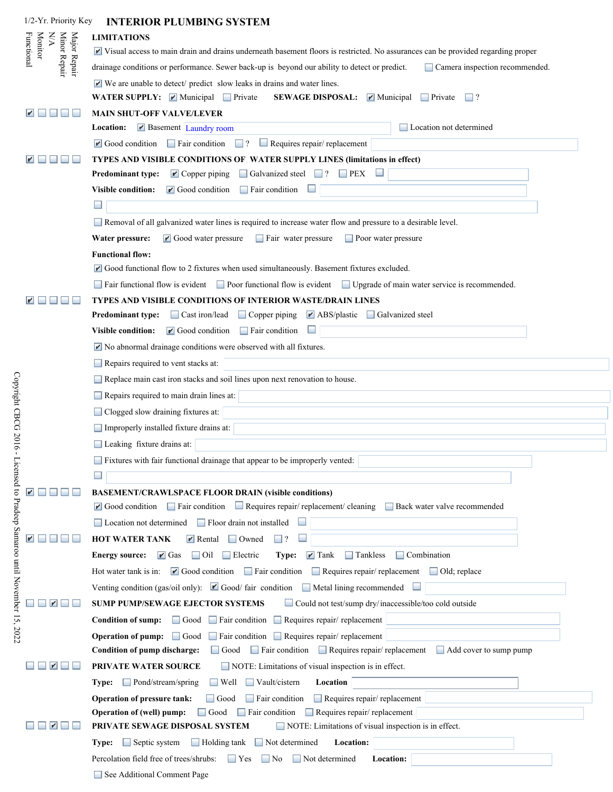| 1/2-Yr. Priority Key         | <b>INTERIOR PLUMBING SYSTEM</b>                                                                                                                                                   |
|------------------------------|-----------------------------------------------------------------------------------------------------------------------------------------------------------------------------------|
| NA                           | <b>LIMITATIONS</b>                                                                                                                                                                |
| <b>Monitor</b><br>Functional | Visual access to main drain and drains underneath basement floors is restricted. No assurances can be provided regarding proper                                                   |
| Minor Repair<br>Major Repair | drainage conditions or performance. Sewer back-up is beyond our ability to detect or predict.<br>Camera inspection recommended.                                                   |
|                              | $\blacktriangleright$ We are unable to detect/ predict slow leaks in drains and water lines.                                                                                      |
|                              | WATER SUPPLY: Municipal Private<br><b>SEWAGE DISPOSAL:</b><br>$\blacktriangleright$ Municipal<br>$\blacksquare$ Private<br>$\Box$ ?                                               |
|                              | <b>MAIN SHUT-OFF VALVE/LEVER</b>                                                                                                                                                  |
|                              | Basement Laundry room<br>Location not determined<br>Location:                                                                                                                     |
|                              | Requires repair/replacement<br>$\blacksquare$ Good condition $\blacksquare$ Fair condition<br>$\Box$ ?<br>$\overline{\phantom{a}}$                                                |
|                              | TYPES AND VISIBLE CONDITIONS OF WATER SUPPLY LINES (limitations in effect)                                                                                                        |
|                              | $\Box$ Galvanized steel $\Box$ ?<br>$\blacksquare$ Copper piping<br>$\Box$ PEX<br>Predominant type:                                                                               |
|                              | <b>Visible condition:</b><br>$\blacksquare$ Good condition<br>$\Box$ Fair condition                                                                                               |
|                              |                                                                                                                                                                                   |
|                              | Removal of all galvanized water lines is required to increase water flow and pressure to a desirable level.                                                                       |
|                              | $\mathbf{r}$ Good water pressure<br>Water pressure:<br>$\Box$ Fair water pressure<br>Poor water pressure                                                                          |
|                              | <b>Functional flow:</b>                                                                                                                                                           |
|                              | $\blacksquare$ Good functional flow to 2 fixtures when used simultaneously. Basement fixtures excluded.                                                                           |
|                              | $\Box$ Fair functional flow is evident $\Box$ Poor functional flow is evident $\Box$ Upgrade of main water service is recommended.                                                |
|                              | TYPES AND VISIBLE CONDITIONS OF INTERIOR WASTE/DRAIN LINES<br>□ Cast iron/lead □ Copper piping<br>$\blacksquare$ ABS/plastic $\blacksquare$ Galvanized steel<br>Predominant type: |
|                              | Visible condition: $\blacksquare$ Good condition<br>$\Box$ Fair condition                                                                                                         |
|                              | No abnormal drainage conditions were observed with all fixtures.                                                                                                                  |
|                              |                                                                                                                                                                                   |
|                              | Repairs required to vent stacks at:<br>Replace main cast iron stacks and soil lines upon next renovation to house.                                                                |
|                              |                                                                                                                                                                                   |
|                              | Repairs required to main drain lines at:                                                                                                                                          |
|                              | Clogged slow draining fixtures at:                                                                                                                                                |
|                              | Improperly installed fixture drains at:                                                                                                                                           |
|                              | Leaking fixture drains at:                                                                                                                                                        |
|                              | Fixtures with fair functional drainage that appear to be improperly vented:                                                                                                       |
|                              |                                                                                                                                                                                   |
|                              | <b>BASEMENT/CRAWLSPACE FLOOR DRAIN (visible conditions)</b><br>Fair condition Requires repair/ replacement/ cleaning Back water valve recommended<br>$\mathbf{r}$ Good condition  |
|                              | Floor drain not installed<br>Location not determined                                                                                                                              |
|                              | <b>HOT WATER TANK</b><br>$\blacktriangleright$ Rental<br>$\Box$ Owned                                                                                                             |
|                              | $\Box$ Tankless<br>$\Box$ Combination<br>$\blacksquare$ Gas<br>$\Box$ Oil<br>$\Box$ Electric<br>$\blacktriangleright$ Tank<br><b>Energy source:</b><br>Type:                      |
|                              | $\blacksquare$ Good condition $\blacksquare$ Fair condition<br>Requires repair/replacement<br>Hot water tank is in:<br>$\Box$ Old; replace                                        |
|                              | Venting condition (gas/oil only): $\blacksquare$ Good/ fair condition $\blacksquare$ Metal lining recommended                                                                     |
|                              | Could not test/sump dry/inaccessible/too cold outside<br>SUMP PUMP/SEWAGE EJECTOR SYSTEMS                                                                                         |
|                              | $\Box$ Fair condition $\Box$ Requires repair/ replacement<br>Condition of sump: Good                                                                                              |
|                              | <b>Operation of pump:</b> $\Box$ Good<br>Fair condition Requires repair/ replacement                                                                                              |
|                              | $\Box$ Fair condition $\Box$ Requires repair/ replacement<br>Condition of pump discharge:<br>Add cover to sump pump<br>$\Box$ Good                                                |
|                              | NOTE: Limitations of visual inspection is in effect.<br>PRIVATE WATER SOURCE                                                                                                      |
|                              | Pond/stream/spring<br>$\Box$ Vault/cistern<br>$\Box$ Well<br>Location<br>Type:                                                                                                    |
|                              | $\Box$ Requires repair/replacement<br>Operation of pressure tank:<br>$\Box$ Fair condition<br>$\Box$ Good                                                                         |
|                              | Operation of (well) pump:<br>$\Box$ Good<br>$\Box$ Fair condition<br>$\Box$ Requires repair/ replacement                                                                          |
|                              | PRIVATE SEWAGE DISPOSAL SYSTEM<br>NOTE: Limitations of visual inspection is in effect.                                                                                            |
|                              | $\Box$ Septic system<br>$\Box$ Holding tank<br>$\Box$ Not determined<br>Location:<br>Type:                                                                                        |
|                              | Percolation field free of trees/shrubs:<br>$\Box$ Not determined<br>Location:<br>$\Box$ Yes<br>    No                                                                             |
|                              | See Additional Comment Page                                                                                                                                                       |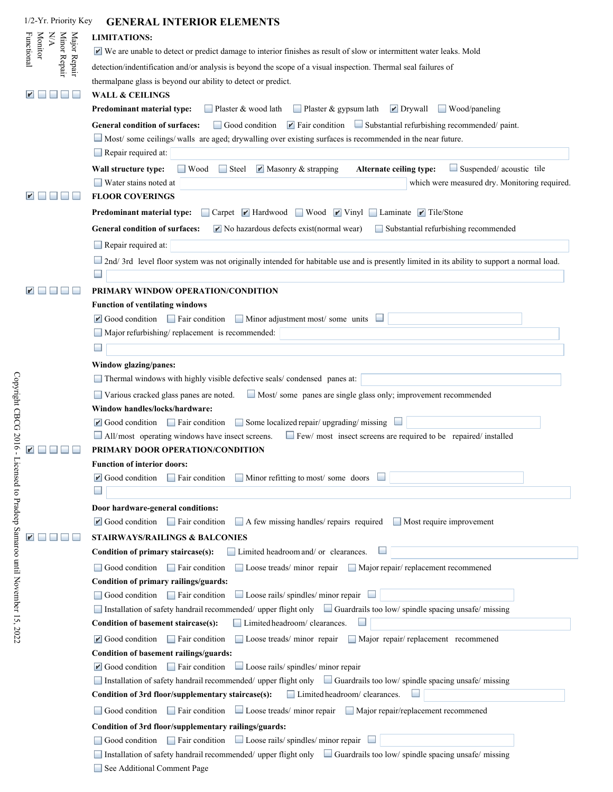| 1/2-Yr. Priority Key                                         | <b>GENERAL INTERIOR ELEMENTS</b>                                                                                                                            |
|--------------------------------------------------------------|-------------------------------------------------------------------------------------------------------------------------------------------------------------|
| $\mathbb{X}\mathbb{X}$                                       | <b>LIMITATIONS:</b>                                                                                                                                         |
| Minor Repair<br>Major Repair<br>Functional<br><b>Monitor</b> | $\blacktriangleright$ We are unable to detect or predict damage to interior finishes as result of slow or intermittent water leaks. Mold                    |
|                                                              | detection/indentification and/or analysis is beyond the scope of a visual inspection. Thermal seal failures of                                              |
|                                                              | thermalpane glass is beyond our ability to detect or predict.                                                                                               |
|                                                              | <b>WALL &amp; CEILINGS</b>                                                                                                                                  |
|                                                              | □ Plaster & gypsum lath ■ Drywall<br>Predominant material type:<br>$\Box$ Plaster & wood lath<br>$\Box$ Wood/paneling                                       |
|                                                              |                                                                                                                                                             |
|                                                              | $\blacktriangleright$ Fair condition $\blacksquare$ Substantial refurbishing recommended/ paint.<br>Good condition<br><b>General condition of surfaces:</b> |
|                                                              | Most/some ceilings/walls are aged; drywalling over existing surfaces is recommended in the near future.                                                     |
|                                                              | Repair required at:                                                                                                                                         |
|                                                              | $\Box$ Steel<br>$\blacksquare$ Masonry & strapping<br>$\Box$ Suspended/ acoustic tile<br>Wall structure type:<br>$\Box$ Wood<br>Alternate ceiling type:     |
|                                                              | Water stains noted at<br>which were measured dry. Monitoring required.                                                                                      |
|                                                              | <b>FLOOR COVERINGS</b>                                                                                                                                      |
|                                                              | □ Carpet ■ Hardwood ■ Wood ■ Vinyl ■ Laminate ■ Tile/Stone<br><b>Predominant material type:</b>                                                             |
|                                                              | <b>General condition of surfaces:</b><br>$\blacktriangleright$ No hazardous defects exist(normal wear)<br>Substantial refurbishing recommended              |
|                                                              | Repair required at:                                                                                                                                         |
|                                                              | 2nd/3rd level floor system was not originally intended for habitable use and is presently limited in its ability to support a normal load.                  |
|                                                              | PRIMARY WINDOW OPERATION/CONDITION                                                                                                                          |
|                                                              | <b>Function of ventilating windows</b>                                                                                                                      |
|                                                              | Good condition Fair condition Minor adjustment most/ some units                                                                                             |
|                                                              | Major refurbishing/replacement is recommended:                                                                                                              |
|                                                              |                                                                                                                                                             |
|                                                              |                                                                                                                                                             |
|                                                              | Window glazing/panes:                                                                                                                                       |
|                                                              | Thermal windows with highly visible defective seals/condensed panes at:                                                                                     |
|                                                              | Most/ some panes are single glass only; improvement recommended<br>Various cracked glass panes are noted.                                                   |
|                                                              | Window handles/locks/hardware:                                                                                                                              |
|                                                              | $\blacksquare$ Good condition $\blacksquare$ Fair condition $\blacksquare$ Some localized repair/ upgrading/ missing                                        |
|                                                              | All/most operating windows have insect screens.<br>Few/ most insect screens are required to be repaired/ installed                                          |
|                                                              | PRIMARY DOOR OPERATION/CONDITION                                                                                                                            |
|                                                              | <b>Function of interior doors:</b>                                                                                                                          |
|                                                              | $\blacksquare$ Good condition<br>$\Box$ Fair condition $\Box$ Minor refitting to most/ some doors                                                           |
|                                                              |                                                                                                                                                             |
|                                                              | Door hardware-general conditions:                                                                                                                           |
|                                                              | $\blacksquare$ Good condition<br>$\Box$ Fair condition<br>A few missing handles/ repairs required<br>$\Box$ Most require improvement                        |
|                                                              | <b>STAIRWAYS/RAILINGS &amp; BALCONIES</b>                                                                                                                   |
|                                                              | Limited headroom and/ or clearances.<br>Condition of primary staircase(s):                                                                                  |
|                                                              | Loose treads/minor repair Major repair/replacement recommened<br>Good condition<br>$\Box$ Fair condition                                                    |
|                                                              | Condition of primary railings/guards:                                                                                                                       |
|                                                              | Loose rails/ spindles/ minor repair<br>Good condition $\Box$ Fair condition                                                                                 |
|                                                              | Installation of safety handrail recommended/ upper flight only and Guardrails too low/ spindle spacing unsafe/ missing                                      |
|                                                              | Limited headroom/ clearances.<br>Condition of basement staircase(s):                                                                                        |
|                                                              | Good condition Fair condition Loose treads/minor repair Major repair/replacement recommened                                                                 |
|                                                              | Condition of basement railings/guards:                                                                                                                      |
|                                                              | $\blacksquare$ Good condition $\blacksquare$ Fair condition $\blacksquare$ Loose rails/ spindles/ minor repair                                              |
|                                                              | Installation of safety handrail recommended/ upper flight only Guardrails too low/ spindle spacing unsafe/ missing                                          |
|                                                              | Condition of 3rd floor/supplementary staircase(s):<br>Limited headroom/ clearances.                                                                         |
|                                                              | Fair condition Loose treads/ minor repair Major repair/replacement recommened<br>Good condition                                                             |
|                                                              | Condition of 3rd floor/supplementary railings/guards:                                                                                                       |
|                                                              | Good condition $\Box$ Fair condition $\Box$ Loose rails/spindles/minor repair                                                                               |
|                                                              | Installation of safety handrail recommended/ upper flight only Guardrails too low/ spindle spacing unsafe/ missing                                          |
|                                                              | See Additional Comment Page                                                                                                                                 |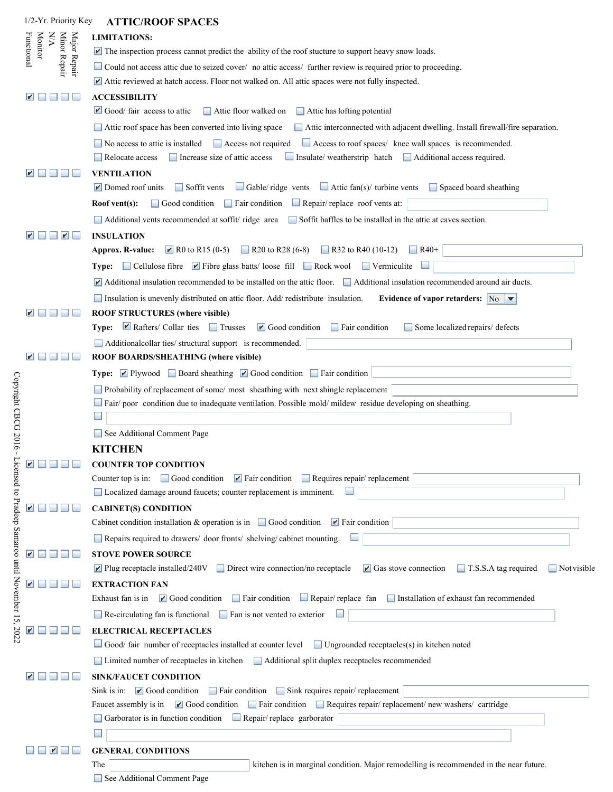| 1/2-Yr. Priority Key                                         | <b>ATTIC/ROOF SPACES</b>                                                                                                                                                                                                        |
|--------------------------------------------------------------|---------------------------------------------------------------------------------------------------------------------------------------------------------------------------------------------------------------------------------|
| $\mathbf{N}\mathbf{A}$                                       | <b>LIMITATIONS:</b>                                                                                                                                                                                                             |
| Major Repair<br>Minor Repair<br><b>Monitor</b><br>Functional | $\blacktriangleright$ The inspection process cannot predict the ability of the roof stucture to support heavy snow loads.                                                                                                       |
|                                                              | Could not access attic due to seized cover/ no attic access/ further review is required prior to proceeding.                                                                                                                    |
|                                                              | $\blacktriangleright$ Attic reviewed at hatch access. Floor not walked on. All attic spaces were not fully inspected.                                                                                                           |
| $\mathbf{r}$                                                 | <b>ACCESSIBILITY</b>                                                                                                                                                                                                            |
|                                                              | $\Box$ Good/ fair access to attic<br>Attic floor walked on<br>$\Box$ Attic has lofting potential                                                                                                                                |
|                                                              | Attic roof space has been converted into living space<br>Attic interconnected with adjacent dwelling. Install firewall/fire separation.                                                                                         |
|                                                              | Access to roof spaces/ knee wall spaces is recommended.<br>No access to attic is installed<br>Access not required                                                                                                               |
|                                                              | $\Box$ Increase size of attic access<br>Insulate/weatherstrip hatch Additional access required.<br>Relocate access                                                                                                              |
|                                                              | <b>VENTILATION</b>                                                                                                                                                                                                              |
|                                                              | Attic fan(s)/ turbine vents<br>$\Box$ Soffit vents<br>$\Box$ Gable/ridge vents<br>Spaced board sheathing<br>$\blacktriangleright$ Domed roof units                                                                              |
|                                                              | Repair/replace roof vents at:<br>Good condition<br>$\Box$ Fair condition<br>Roof vent(s):                                                                                                                                       |
|                                                              | Additional vents recommended at soffit/ ridge area Soffit baffles to be installed in the attic at eaves section.                                                                                                                |
|                                                              | <b>INSULATION</b>                                                                                                                                                                                                               |
|                                                              | R0 to R15 (0-5) R20 to R28 (6-8) R32 to R40 (10-12)<br><b>Approx. R-value:</b><br>$\Box$ R40+                                                                                                                                   |
|                                                              | <b>Type:</b> $\Box$ Cellulose fibre $\Box$ Fibre glass batts/ loose fill $\Box$ Rock wool<br>$\Box$ Vermiculite                                                                                                                 |
|                                                              | $\blacktriangleright$ Additional insulation recommended to be installed on the attic floor. $\blacktriangleright$ Additional insulation recommended around air ducts.                                                           |
|                                                              | Insulation is unevenly distributed on attic floor. Add/redistribute insulation.<br>Evidence of vapor retarders: $ N_0 $ $\neq$                                                                                                  |
|                                                              | ROOF STRUCTURES (where visible)                                                                                                                                                                                                 |
|                                                              | Rafters/ Collar ties<br>$\Box$ Trusses<br>$\blacksquare$ Good condition<br>$\Box$ Fair condition<br>Some localized repairs/ defects<br>Type:                                                                                    |
|                                                              | Additionalcollar ties/ structural support is recommended.                                                                                                                                                                       |
|                                                              | ROOF BOARDS/SHEATHING (where visible)                                                                                                                                                                                           |
|                                                              | Type: ☑ Plywood Board sheathing ☑ Good condition Fair condition                                                                                                                                                                 |
|                                                              | Probability of replacement of some/ most sheathing with next shingle replacement                                                                                                                                                |
|                                                              | Fair/poor condition due to inadequate ventilation. Possible mold/mildew residue developing on sheathing.                                                                                                                        |
|                                                              |                                                                                                                                                                                                                                 |
|                                                              | See Additional Comment Page                                                                                                                                                                                                     |
|                                                              | <b>KITCHEN</b>                                                                                                                                                                                                                  |
| $\blacksquare$                                               | <b>COUNTER TOP CONDITION</b>                                                                                                                                                                                                    |
|                                                              | Good condition <b>P</b> Fair condition Requires repair/ replacement<br>Counter top is in:                                                                                                                                       |
|                                                              | Localized damage around faucets; counter replacement is imminent.                                                                                                                                                               |
|                                                              | <b>CABINET(S) CONDITION</b>                                                                                                                                                                                                     |
|                                                              | Cabinet condition installation & operation is in $\Box$ Good condition $\blacksquare$ Fair condition                                                                                                                            |
|                                                              | Repairs required to drawers/ door fronts/ shelving/cabinet mounting.                                                                                                                                                            |
|                                                              | <b>STOVE POWER SOURCE</b>                                                                                                                                                                                                       |
|                                                              | $\blacktriangleright$ Plug receptacle installed/240V<br>Direct wire connection/no receptacle<br>$\mathbf{r}$ Gas stove connection<br>$\Box$ T.S.S.A tag required<br>$\Box$ Not visible                                          |
|                                                              | <b>EXTRACTION FAN</b><br>Repair/replace fan Installation of exhaust fan recommended<br>Exhaust fan is in<br>$\blacktriangleright$ Good condition<br>$\Box$ Fair condition                                                       |
|                                                              |                                                                                                                                                                                                                                 |
|                                                              | $\Box$ Re-circulating fan is functional<br>$\Box$ Fan is not vented to exterior                                                                                                                                                 |
|                                                              | <b>ELECTRICAL RECEPTACLES</b><br>Good/ fair number of receptacles installed at counter level Ungrounded receptacles(s) in kitchen noted                                                                                         |
|                                                              |                                                                                                                                                                                                                                 |
|                                                              | Limited number of receptacles in kitchen ■ Additional split duplex receptacles recommended                                                                                                                                      |
|                                                              | <b>SINK/FAUCET CONDITION</b>                                                                                                                                                                                                    |
|                                                              | Sink is in: $\blacksquare$ Good condition<br>Fair condition Sink requires repair/ replacement<br>$\Box$ Good condition $\Box$ Fair condition $\Box$ Requires repair/replacement/new washers/ cartridge<br>Faucet assembly is in |
|                                                              | $\Box$ Repair/replace garborator<br>Garborator is in function condition                                                                                                                                                         |
|                                                              |                                                                                                                                                                                                                                 |
|                                                              | <b>GENERAL CONDITIONS</b>                                                                                                                                                                                                       |
|                                                              | kitchen is in marginal condition. Major remodelling is recommended in the near future.<br>The                                                                                                                                   |
|                                                              | See Additional Comment Page                                                                                                                                                                                                     |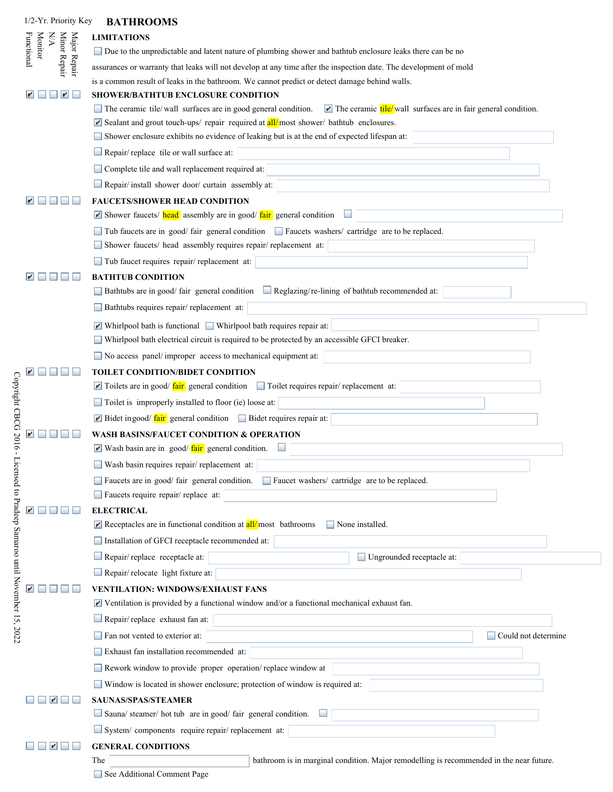| 1/2-Yr. Priority Key                                | <b>BATHROOMS</b>                                                                                                                              |
|-----------------------------------------------------|-----------------------------------------------------------------------------------------------------------------------------------------------|
| XX                                                  | <b>LIMITATIONS</b>                                                                                                                            |
| Functional<br><b>Monitor</b>                        | □ Due to the unpredictable and latent nature of plumbing shower and bathtub enclosure leaks there can be no                                   |
| Major Repair<br>Minor Repair                        | assurances or warranty that leaks will not develop at any time after the inspection date. The development of mold                             |
|                                                     | is a common result of leaks in the bathroom. We cannot predict or detect damage behind walls.                                                 |
| $\blacksquare$<br>$\mathbf{r}$                      | SHOWER/BATHTUB ENCLOSURE CONDITION                                                                                                            |
|                                                     | The ceramic tile/wall surfaces are in good general condition.<br>$\blacksquare$ The ceramic tile/wall surfaces are in fair general condition. |
|                                                     | Sealant and grout touch-ups/repair required at $all/most$ shower/bathtub enclosures.                                                          |
|                                                     | Shower enclosure exhibits no evidence of leaking but is at the end of expected lifespan at:                                                   |
|                                                     | Repair/replace tile or wall surface at:                                                                                                       |
|                                                     | Complete tile and wall replacement required at:                                                                                               |
|                                                     | Repair/install shower door/curtain assembly at:                                                                                               |
|                                                     | <b>FAUCETS/SHOWER HEAD CONDITION</b>                                                                                                          |
|                                                     | Shower faucets/ head assembly are in good/ fair general condition                                                                             |
|                                                     | Tub faucets are in good/fair general condition all Faucets washers/ cartridge are to be replaced.                                             |
|                                                     | Shower faucets/ head assembly requires repair/ replacement at:                                                                                |
|                                                     | Tub faucet requires repair/ replacement at:                                                                                                   |
|                                                     | <b>BATHTUB CONDITION</b>                                                                                                                      |
|                                                     | $\Box$ Reglazing/re-lining of bathtub recommended at:<br>Bathtubs are in good/fair general condition                                          |
|                                                     | Bathtubs requires repair/ replacement at:                                                                                                     |
|                                                     | $\blacktriangleright$ Whirlpool bath is functional $\blacktriangleright$ Whirlpool bath requires repair at:                                   |
|                                                     | Whirlpool bath electrical circuit is required to be protected by an accessible GFCI breaker.                                                  |
|                                                     | No access panel/improper access to mechanical equipment at:                                                                                   |
|                                                     | <b>TOILET CONDITION/BIDET CONDITION</b>                                                                                                       |
|                                                     | Toilets are in good/ fair general condition Toilet requires repair/ replacement at:                                                           |
|                                                     | Toilet is improperly installed to floor (ie) loose at:                                                                                        |
| Copyright CBCG 2016-                                | $\blacktriangleright$ Bidet in good/ $\frac{\text{fair}}{\text{fair}}$ general condition $\blacktriangleright$ Bidet requires repair at:      |
|                                                     | <b>WASH BASINS/FAUCET CONDITION &amp; OPERATION</b>                                                                                           |
|                                                     | $\blacktriangleright$ Wash basin are in good/ $\frac{\text{fair}}{\text{fair}}$ general condition.                                            |
| Licensed to Pradeep Samaroo until November 15, 2022 | Wash basin requires repair/replacement at:                                                                                                    |
|                                                     | Faucets are in good/ fair general condition. Faucet washers/ cartridge are to be replaced.                                                    |
|                                                     | Faucets require repair/ replace at:                                                                                                           |
|                                                     | <b>ELECTRICAL</b>                                                                                                                             |
|                                                     | Receptacles are in functional condition at $\frac{all}{mod}$ bathrooms<br>$\Box$ None installed.                                              |
|                                                     | Installation of GFCI receptacle recommended at:                                                                                               |
|                                                     | Repair/replace receptacle at:<br>Ungrounded receptacle at:                                                                                    |
|                                                     | Repair/relocate light fixture at:                                                                                                             |
|                                                     | <b>VENTILATION: WINDOWS/EXHAUST FANS</b>                                                                                                      |
|                                                     | $\blacktriangleright$ Ventilation is provided by a functional window and/or a functional mechanical exhaust fan.                              |
|                                                     | Repair/replace exhaust fan at:                                                                                                                |
|                                                     | Fan not vented to exterior at:<br>Could not determine                                                                                         |
|                                                     | Exhaust fan installation recommended at:                                                                                                      |
|                                                     | Rework window to provide proper operation/replace window at                                                                                   |
|                                                     | Window is located in shower enclosure; protection of window is required at:                                                                   |
| M                                                   | <b>SAUNAS/SPAS/STEAMER</b>                                                                                                                    |
|                                                     | Sauna/ steamer/ hot tub are in good/ fair general condition.                                                                                  |
|                                                     | System/components require repair/replacement at:                                                                                              |
| V                                                   | <b>GENERAL CONDITIONS</b>                                                                                                                     |
|                                                     | bathroom is in marginal condition. Major remodelling is recommended in the near future.<br>The                                                |

See Additional Comment Page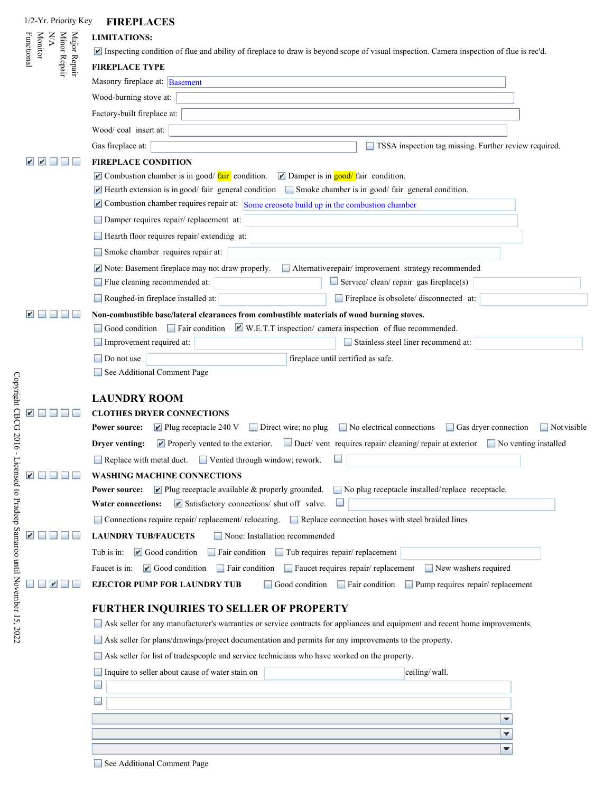| 1/2-Yr. Priority Key                                                | <b>FIREPLACES</b>                                                                                                                                                                                                                                |
|---------------------------------------------------------------------|--------------------------------------------------------------------------------------------------------------------------------------------------------------------------------------------------------------------------------------------------|
| <b>Monitor</b><br>Major Repair<br>Minor Repair<br>N/A<br>Functional | <b>LIMITATIONS:</b>                                                                                                                                                                                                                              |
|                                                                     | Inspecting condition of flue and ability of fireplace to draw is beyond scope of visual inspection. Camera inspection of flue is rec'd.                                                                                                          |
|                                                                     | <b>FIREPLACE TYPE</b>                                                                                                                                                                                                                            |
|                                                                     | Masonry fireplace at: Basement                                                                                                                                                                                                                   |
|                                                                     | Wood-burning stove at:                                                                                                                                                                                                                           |
|                                                                     | Factory-built fireplace at:                                                                                                                                                                                                                      |
|                                                                     | Wood/coal_insert at:                                                                                                                                                                                                                             |
|                                                                     | Gas fireplace at:<br>TSSA inspection tag missing. Further review required.                                                                                                                                                                       |
|                                                                     | <b>FIREPLACE CONDITION</b>                                                                                                                                                                                                                       |
|                                                                     | $\blacksquare$ Combustion chamber is in good/ $\frac{\text{fair}}{\text{fair}}$ condition.<br>$\blacktriangleright$ Damper is in good/fair condition.                                                                                            |
|                                                                     | $\blacksquare$ Hearth extension is in good/ fair general condition $\blacksquare$ Smoke chamber is in good/ fair general condition.                                                                                                              |
|                                                                     | $\blacksquare$ Combustion chamber requires repair at: Some creosote build up in the combustion chamber                                                                                                                                           |
|                                                                     | Damper requires repair/replacement at:                                                                                                                                                                                                           |
|                                                                     | Hearth floor requires repair/ extending at:                                                                                                                                                                                                      |
|                                                                     | Smoke chamber requires repair at:                                                                                                                                                                                                                |
|                                                                     | Note: Basement fireplace may not draw properly.<br>Alternativerepair/improvement strategy recommended                                                                                                                                            |
|                                                                     | Service/clean/repair gas fireplace(s)<br>Flue cleaning recommended at:                                                                                                                                                                           |
|                                                                     | Roughed-in fireplace installed at:<br>Fireplace is obsolete/ disconnected at:                                                                                                                                                                    |
|                                                                     | Non-combustible base/lateral clearances from combustible materials of wood burning stoves.                                                                                                                                                       |
|                                                                     | $\blacktriangleright$ W.E.T.T inspection/ camera inspection of flue recommended.<br>Good condition $\Box$ Fair condition                                                                                                                         |
|                                                                     | Improvement required at:<br>Stainless steel liner recommend at:                                                                                                                                                                                  |
|                                                                     | fireplace until certified as safe.<br>Do not use                                                                                                                                                                                                 |
|                                                                     | See Additional Comment Page                                                                                                                                                                                                                      |
|                                                                     |                                                                                                                                                                                                                                                  |
|                                                                     | <b>LAUNDRY ROOM</b>                                                                                                                                                                                                                              |
|                                                                     | <b>CLOTHES DRYER CONNECTIONS</b><br>Plug receptacle 240 V<br>$\blacksquare$ No electrical connections                                                                                                                                            |
|                                                                     | $\Box$ Direct wire; no plug<br>Gas dryer connection<br>$\blacksquare$ Not visible<br><b>Power source:</b>                                                                                                                                        |
|                                                                     | Duct/ vent requires repair/ cleaning/ repair at exterior<br>$\blacktriangleright$ Properly vented to the exterior.<br>Drver venting:<br>No venting installed                                                                                     |
|                                                                     | Replace with metal duct.<br>Vented through window; rework.                                                                                                                                                                                       |
|                                                                     | <b>WASHING MACHINE CONNECTIONS</b>                                                                                                                                                                                                               |
|                                                                     | $\blacktriangleright$ Plug receptacle available & properly grounded.<br>$\Box$ No plug receptacle installed/replace receptacle.<br>Power source:<br>$\blacktriangleright$ Satisfactory connections/ shut off valve.<br><b>Water connections:</b> |
|                                                                     |                                                                                                                                                                                                                                                  |
|                                                                     | □ Connections require repair/ replacement/ relocating. □ Replace connection hoses with steel braided lines                                                                                                                                       |
|                                                                     | <b>LAUNDRY TUB/FAUCETS</b><br>None: Installation recommended                                                                                                                                                                                     |
|                                                                     | Fair condition Tub requires repair/ replacement<br>Tub is in:<br>$\blacktriangleright$ Good condition                                                                                                                                            |
|                                                                     | $\Box$ Fair condition $\Box$ Faucet requires repair/ replacement<br>$\blacktriangleright$ Good condition<br>New washers required<br>Faucet is in:                                                                                                |
|                                                                     | <b>EJECTOR PUMP FOR LAUNDRY TUB</b><br>Good condition Fair condition<br>$\Box$ Pump requires repair/ replacement                                                                                                                                 |
|                                                                     | <b>FURTHER INQUIRIES TO SELLER OF PROPERTY</b>                                                                                                                                                                                                   |
|                                                                     | ■ Ask seller for any manufacturer's warranties or service contracts for appliances and equipment and recent home improvements.                                                                                                                   |
|                                                                     | ■ Ask seller for plans/drawings/project documentation and permits for any improvements to the property.                                                                                                                                          |
|                                                                     | Ask seller for list of tradespeople and service technicians who have worked on the property.                                                                                                                                                     |
|                                                                     | Inquire to seller about cause of water stain on<br>ceiling/wall.                                                                                                                                                                                 |
|                                                                     | $\overline{\phantom{a}}$                                                                                                                                                                                                                         |
|                                                                     |                                                                                                                                                                                                                                                  |
|                                                                     | ▼                                                                                                                                                                                                                                                |
|                                                                     | ▼                                                                                                                                                                                                                                                |
|                                                                     | ▼                                                                                                                                                                                                                                                |